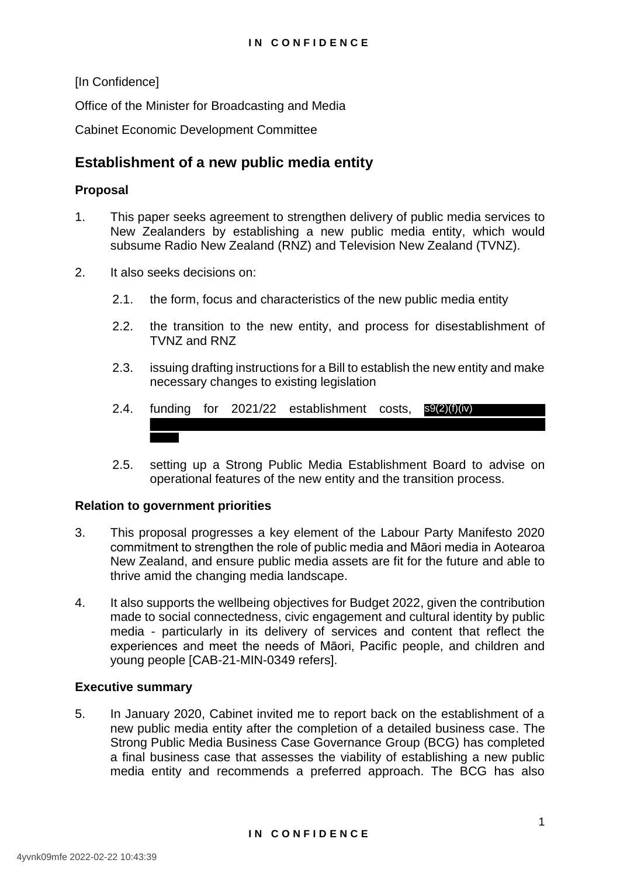[In Confidence]

Office of the Minister for Broadcasting and Media

Cabinet Economic Development Committee

# **Establishment of a new public media entity**

## **Proposal**

- 1. This paper seeks agreement to strengthen delivery of public media services to New Zealanders by establishing a new public media entity, which would subsume Radio New Zealand (RNZ) and Television New Zealand (TVNZ).
- 2. It also seeks decisions on:
	- 2.1. the form, focus and characteristics of the new public media entity
	- 2.2. the transition to the new entity, and process for disestablishment of TVNZ and RNZ
	- 2.3. issuing drafting instructions for a Bill to establish the new entity and make necessary changes to existing legislation
	- 2.4. funding for 2021/22 establishment costs, s9(2)(f)(iv)
	- 2.5. setting up a Strong Public Media Establishment Board to advise on operational features of the new entity and the transition process.

#### **Relation to government priorities**

- 3. This proposal progresses a key element of the Labour Party Manifesto 2020 commitment to strengthen the role of public media and Māori media in Aotearoa New Zealand, and ensure public media assets are fit for the future and able to thrive amid the changing media landscape.
- 4. It also supports the wellbeing objectives for Budget 2022, given the contribution made to social connectedness, civic engagement and cultural identity by public media - particularly in its delivery of services and content that reflect the experiences and meet the needs of Māori, Pacific people, and children and young people [CAB-21-MIN-0349 refers].

#### **Executive summary**

5. In January 2020, Cabinet invited me to report back on the establishment of a new public media entity after the completion of a detailed business case. The Strong Public Media Business Case Governance Group (BCG) has completed a final business case that assesses the viability of establishing a new public media entity and recommends a preferred approach. The BCG has also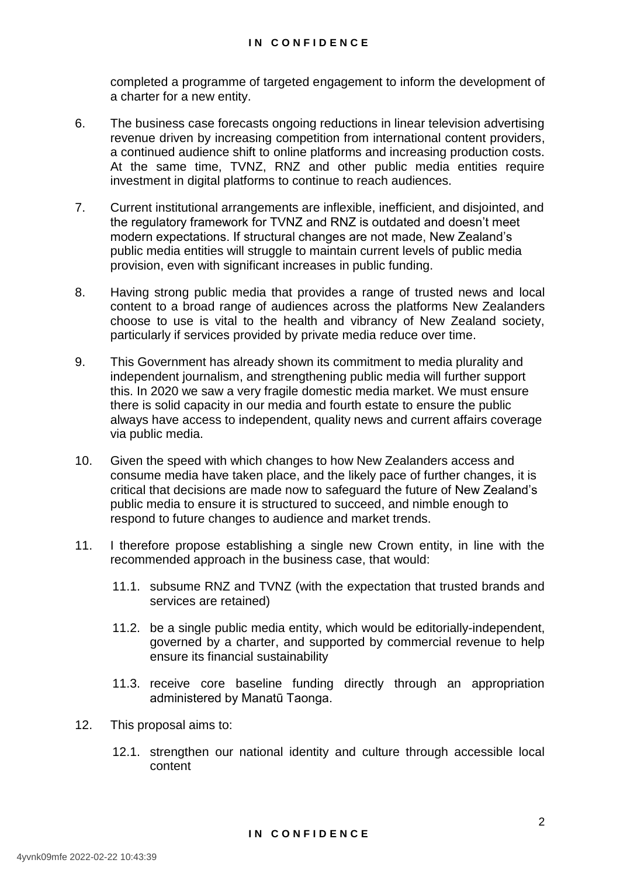completed a programme of targeted engagement to inform the development of a charter for a new entity.

- 6. The business case forecasts ongoing reductions in linear television advertising revenue driven by increasing competition from international content providers, a continued audience shift to online platforms and increasing production costs. At the same time, TVNZ, RNZ and other public media entities require investment in digital platforms to continue to reach audiences.
- 7. Current institutional arrangements are inflexible, inefficient, and disjointed, and the regulatory framework for TVNZ and RNZ is outdated and doesn't meet modern expectations. If structural changes are not made, New Zealand's public media entities will struggle to maintain current levels of public media provision, even with significant increases in public funding.
- 8. Having strong public media that provides a range of trusted news and local content to a broad range of audiences across the platforms New Zealanders choose to use is vital to the health and vibrancy of New Zealand society, particularly if services provided by private media reduce over time.
- 9. This Government has already shown its commitment to media plurality and independent journalism, and strengthening public media will further support this. In 2020 we saw a very fragile domestic media market. We must ensure there is solid capacity in our media and fourth estate to ensure the public always have access to independent, quality news and current affairs coverage via public media.
- 10. Given the speed with which changes to how New Zealanders access and consume media have taken place, and the likely pace of further changes, it is critical that decisions are made now to safeguard the future of New Zealand's public media to ensure it is structured to succeed, and nimble enough to respond to future changes to audience and market trends.
- 11. I therefore propose establishing a single new Crown entity, in line with the recommended approach in the business case, that would:
	- 11.1. subsume RNZ and TVNZ (with the expectation that trusted brands and services are retained)
	- 11.2. be a single public media entity, which would be editorially-independent, governed by a charter, and supported by commercial revenue to help ensure its financial sustainability
	- 11.3. receive core baseline funding directly through an appropriation administered by Manatū Taonga.
- 12. This proposal aims to:
	- 12.1. strengthen our national identity and culture through accessible local content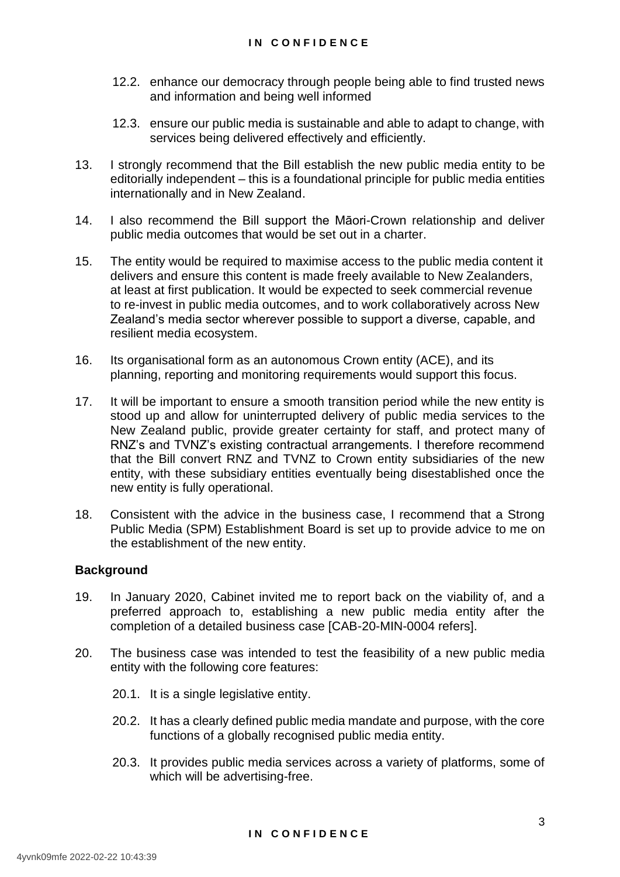- 12.2. enhance our democracy through people being able to find trusted news and information and being well informed
- 12.3. ensure our public media is sustainable and able to adapt to change, with services being delivered effectively and efficiently.
- 13. I strongly recommend that the Bill establish the new public media entity to be editorially independent – this is a foundational principle for public media entities internationally and in New Zealand.
- 14. I also recommend the Bill support the Māori-Crown relationship and deliver public media outcomes that would be set out in a charter.
- 15. The entity would be required to maximise access to the public media content it delivers and ensure this content is made freely available to New Zealanders, at least at first publication. It would be expected to seek commercial revenue to re-invest in public media outcomes, and to work collaboratively across New Zealand's media sector wherever possible to support a diverse, capable, and resilient media ecosystem.
- 16. Its organisational form as an autonomous Crown entity (ACE), and its planning, reporting and monitoring requirements would support this focus.
- 17. It will be important to ensure a smooth transition period while the new entity is stood up and allow for uninterrupted delivery of public media services to the New Zealand public, provide greater certainty for staff, and protect many of RNZ's and TVNZ's existing contractual arrangements. I therefore recommend that the Bill convert RNZ and TVNZ to Crown entity subsidiaries of the new entity, with these subsidiary entities eventually being disestablished once the new entity is fully operational.
- 18. Consistent with the advice in the business case, I recommend that a Strong Public Media (SPM) Establishment Board is set up to provide advice to me on the establishment of the new entity.

#### **Background**

- 19. In January 2020, Cabinet invited me to report back on the viability of, and a preferred approach to, establishing a new public media entity after the completion of a detailed business case [CAB-20-MIN-0004 refers].
- 20. The business case was intended to test the feasibility of a new public media entity with the following core features:
	- 20.1. It is a single legislative entity.
	- 20.2. It has a clearly defined public media mandate and purpose, with the core functions of a globally recognised public media entity.
	- 20.3. It provides public media services across a variety of platforms, some of which will be advertising-free.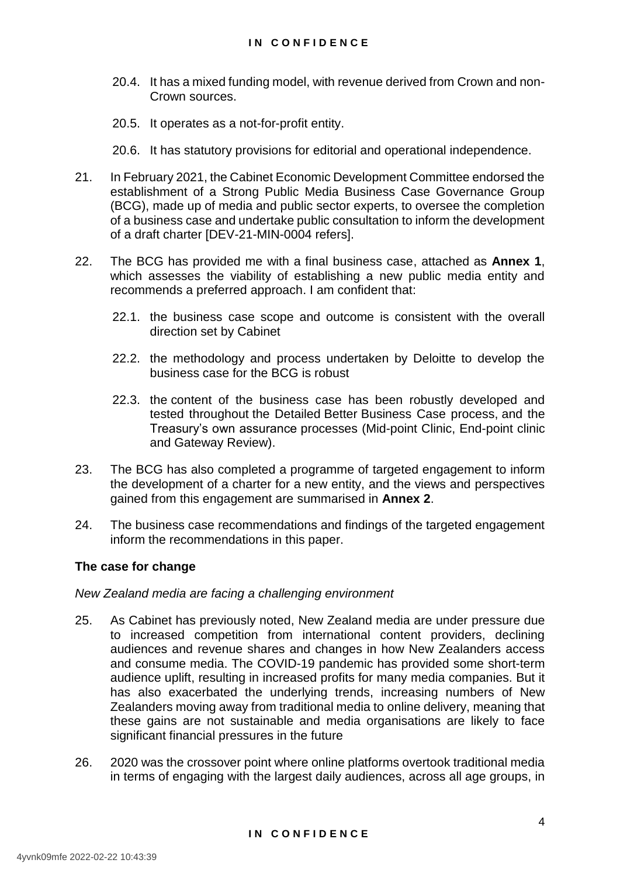- 20.4. It has a mixed funding model, with revenue derived from Crown and non-Crown sources.
- 20.5. It operates as a not-for-profit entity.
- 20.6. It has statutory provisions for editorial and operational independence.
- 21. In February 2021, the Cabinet Economic Development Committee endorsed the establishment of a Strong Public Media Business Case Governance Group (BCG), made up of media and public sector experts, to oversee the completion of a business case and undertake public consultation to inform the development of a draft charter [DEV-21-MIN-0004 refers].
- 22. The BCG has provided me with a final business case, attached as **Annex 1**, which assesses the viability of establishing a new public media entity and recommends a preferred approach. I am confident that:
	- 22.1. the business case scope and outcome is consistent with the overall direction set by Cabinet
	- 22.2. the methodology and process undertaken by Deloitte to develop the business case for the BCG is robust
	- 22.3. the content of the business case has been robustly developed and tested throughout the Detailed Better Business Case process, and the Treasury's own assurance processes (Mid-point Clinic, End-point clinic and Gateway Review).
- 23. The BCG has also completed a programme of targeted engagement to inform the development of a charter for a new entity, and the views and perspectives gained from this engagement are summarised in **Annex 2**.
- 24. The business case recommendations and findings of the targeted engagement inform the recommendations in this paper.

#### **The case for change**

#### *New Zealand media are facing a challenging environment*

- 25. As Cabinet has previously noted, New Zealand media are under pressure due to increased competition from international content providers, declining audiences and revenue shares and changes in how New Zealanders access and consume media. The COVID-19 pandemic has provided some short-term audience uplift, resulting in increased profits for many media companies. But it has also exacerbated the underlying trends, increasing numbers of New Zealanders moving away from traditional media to online delivery, meaning that these gains are not sustainable and media organisations are likely to face significant financial pressures in the future
- 26. 2020 was the crossover point where online platforms overtook traditional media in terms of engaging with the largest daily audiences, across all age groups, in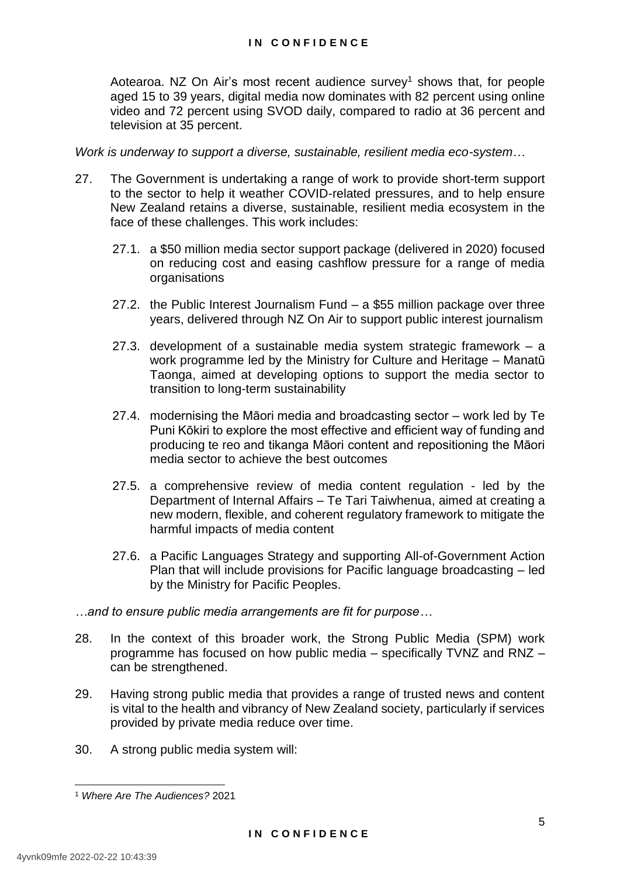Aotearoa. NZ On Air's most recent audience survey<sup>1</sup> shows that, for people aged 15 to 39 years, digital media now dominates with 82 percent using online video and 72 percent using SVOD daily, compared to radio at 36 percent and television at 35 percent.

*Work is underway to support a diverse, sustainable, resilient media eco-system…*

- 27. The Government is undertaking a range of work to provide short-term support to the sector to help it weather COVID-related pressures, and to help ensure New Zealand retains a diverse, sustainable, resilient media ecosystem in the face of these challenges. This work includes:
	- 27.1. a \$50 million media sector support package (delivered in 2020) focused on reducing cost and easing cashflow pressure for a range of media organisations
	- 27.2. the Public Interest Journalism Fund a \$55 million package over three years, delivered through NZ On Air to support public interest journalism
	- 27.3. development of a sustainable media system strategic framework a work programme led by the Ministry for Culture and Heritage – Manatū Taonga, aimed at developing options to support the media sector to transition to long-term sustainability
	- 27.4. modernising the Māori media and broadcasting sector work led by Te Puni Kōkiri to explore the most effective and efficient way of funding and producing te reo and tikanga Māori content and repositioning the Māori media sector to achieve the best outcomes
	- 27.5. a comprehensive review of media content regulation led by the Department of Internal Affairs – Te Tari Taiwhenua, aimed at creating a new modern, flexible, and coherent regulatory framework to mitigate the harmful impacts of media content
	- 27.6. a Pacific Languages Strategy and supporting All-of-Government Action Plan that will include provisions for Pacific language broadcasting – led by the Ministry for Pacific Peoples.
- *…and to ensure public media arrangements are fit for purpose…*
- 28. In the context of this broader work, the Strong Public Media (SPM) work programme has focused on how public media – specifically TVNZ and RNZ – can be strengthened.
- 29. Having strong public media that provides a range of trusted news and content is vital to the health and vibrancy of New Zealand society, particularly if services provided by private media reduce over time.
- 30. A strong public media system will:

<sup>-</sup><sup>1</sup> *Where Are The Audiences?* 2021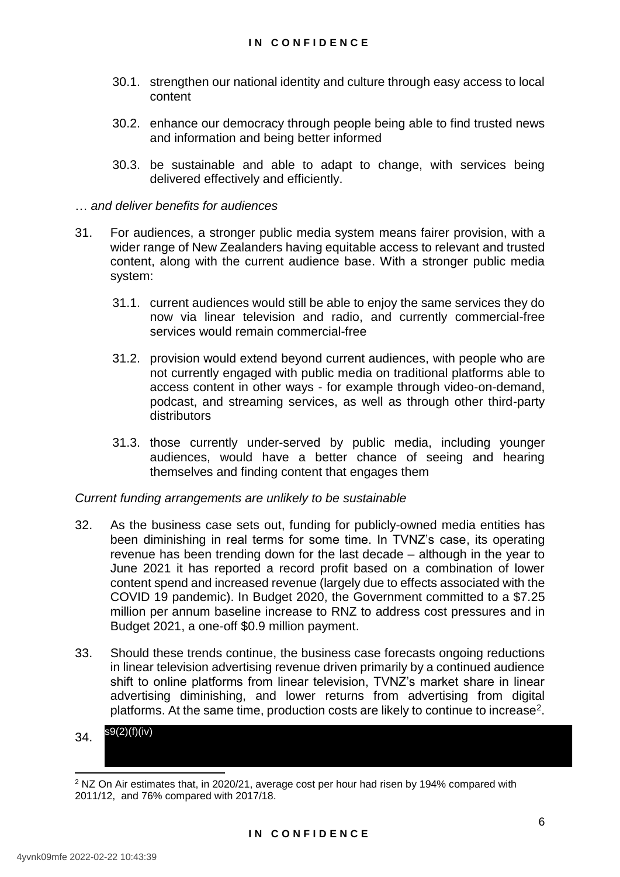- 30.1. strengthen our national identity and culture through easy access to local content
- 30.2. enhance our democracy through people being able to find trusted news and information and being better informed
- 30.3. be sustainable and able to adapt to change, with services being delivered effectively and efficiently.
- … *and deliver benefits for audiences*
- 31. For audiences, a stronger public media system means fairer provision, with a wider range of New Zealanders having equitable access to relevant and trusted content, along with the current audience base. With a stronger public media system:
	- 31.1. current audiences would still be able to enjoy the same services they do now via linear television and radio, and currently commercial-free services would remain commercial-free
	- 31.2. provision would extend beyond current audiences, with people who are not currently engaged with public media on traditional platforms able to access content in other ways - for example through video-on-demand, podcast, and streaming services, as well as through other third-party distributors
	- 31.3. those currently under-served by public media, including younger audiences, would have a better chance of seeing and hearing themselves and finding content that engages them

#### *Current funding arrangements are unlikely to be sustainable*

- 32. As the business case sets out, funding for publicly-owned media entities has been diminishing in real terms for some time. In TVNZ's case, its operating revenue has been trending down for the last decade – although in the year to June 2021 it has reported a record profit based on a combination of lower content spend and increased revenue (largely due to effects associated with the COVID 19 pandemic). In Budget 2020, the Government committed to a \$7.25 million per annum baseline increase to RNZ to address cost pressures and in Budget 2021, a one-off \$0.9 million payment.
- 33. Should these trends continue, the business case forecasts ongoing reductions in linear television advertising revenue driven primarily by a continued audience shift to online platforms from linear television, TVNZ's market share in linear advertising diminishing, and lower returns from advertising from digital platforms. At the same time, production costs are likely to continue to increase<sup>2</sup>.
- 34. s9(2)(f)(iv)

 $2$  NZ On Air estimates that, in 2020/21, average cost per hour had risen by 194% compared with 2011/12, and 76% compared with 2017/18.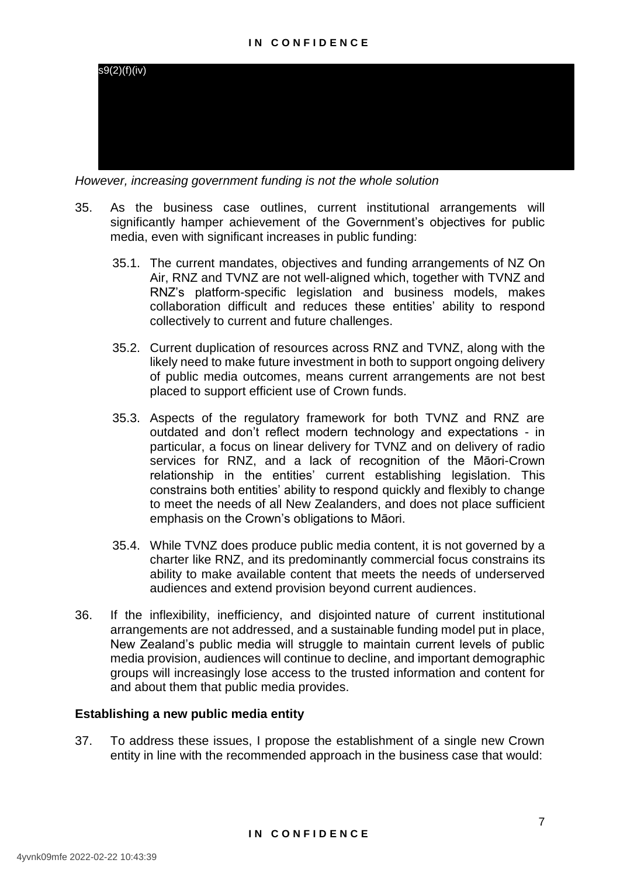

*However, increasing government funding is not the whole solution*

- 35. As the business case outlines, current institutional arrangements will significantly hamper achievement of the Government's objectives for public media, even with significant increases in public funding:
	- 35.1. The current mandates, objectives and funding arrangements of NZ On Air, RNZ and TVNZ are not well-aligned which, together with TVNZ and RNZ's platform-specific legislation and business models, makes collaboration difficult and reduces these entities' ability to respond collectively to current and future challenges.
	- 35.2. Current duplication of resources across RNZ and TVNZ, along with the likely need to make future investment in both to support ongoing delivery of public media outcomes, means current arrangements are not best placed to support efficient use of Crown funds.
	- 35.3. Aspects of the regulatory framework for both TVNZ and RNZ are outdated and don't reflect modern technology and expectations - in particular, a focus on linear delivery for TVNZ and on delivery of radio services for RNZ, and a lack of recognition of the Māori-Crown relationship in the entities' current establishing legislation. This constrains both entities' ability to respond quickly and flexibly to change to meet the needs of all New Zealanders, and does not place sufficient emphasis on the Crown's obligations to Māori.
	- 35.4. While TVNZ does produce public media content, it is not governed by a charter like RNZ, and its predominantly commercial focus constrains its ability to make available content that meets the needs of underserved audiences and extend provision beyond current audiences.
- 36. If the inflexibility, inefficiency, and disjointed nature of current institutional arrangements are not addressed, and a sustainable funding model put in place, New Zealand's public media will struggle to maintain current levels of public media provision, audiences will continue to decline, and important demographic groups will increasingly lose access to the trusted information and content for and about them that public media provides.

#### **Establishing a new public media entity**

37. To address these issues, I propose the establishment of a single new Crown entity in line with the recommended approach in the business case that would: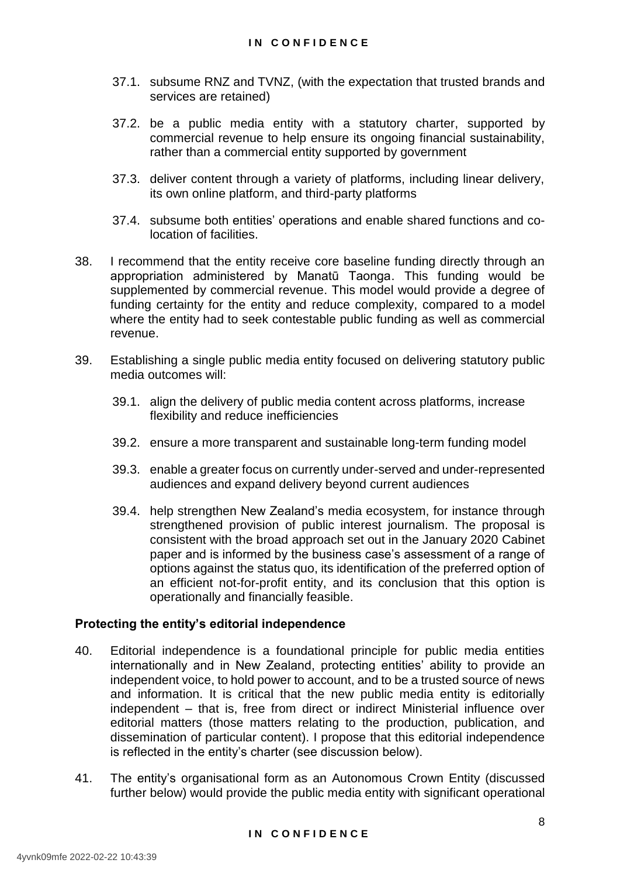- 37.1. subsume RNZ and TVNZ, (with the expectation that trusted brands and services are retained)
- 37.2. be a public media entity with a statutory charter, supported by commercial revenue to help ensure its ongoing financial sustainability, rather than a commercial entity supported by government
- 37.3. deliver content through a variety of platforms, including linear delivery, its own online platform, and third-party platforms
- 37.4. subsume both entities' operations and enable shared functions and colocation of facilities.
- 38. I recommend that the entity receive core baseline funding directly through an appropriation administered by Manatū Taonga. This funding would be supplemented by commercial revenue. This model would provide a degree of funding certainty for the entity and reduce complexity, compared to a model where the entity had to seek contestable public funding as well as commercial revenue.
- 39. Establishing a single public media entity focused on delivering statutory public media outcomes will:
	- 39.1. align the delivery of public media content across platforms, increase flexibility and reduce inefficiencies
	- 39.2. ensure a more transparent and sustainable long-term funding model
	- 39.3. enable a greater focus on currently under-served and under-represented audiences and expand delivery beyond current audiences
	- 39.4. help strengthen New Zealand's media ecosystem, for instance through strengthened provision of public interest journalism. The proposal is consistent with the broad approach set out in the January 2020 Cabinet paper and is informed by the business case's assessment of a range of options against the status quo, its identification of the preferred option of an efficient not-for-profit entity, and its conclusion that this option is operationally and financially feasible.

#### **Protecting the entity's editorial independence**

- 40. Editorial independence is a foundational principle for public media entities internationally and in New Zealand, protecting entities' ability to provide an independent voice, to hold power to account, and to be a trusted source of news and information. It is critical that the new public media entity is editorially independent – that is, free from direct or indirect Ministerial influence over editorial matters (those matters relating to the production, publication, and dissemination of particular content). I propose that this editorial independence is reflected in the entity's charter (see discussion below).
- 41. The entity's organisational form as an Autonomous Crown Entity (discussed further below) would provide the public media entity with significant operational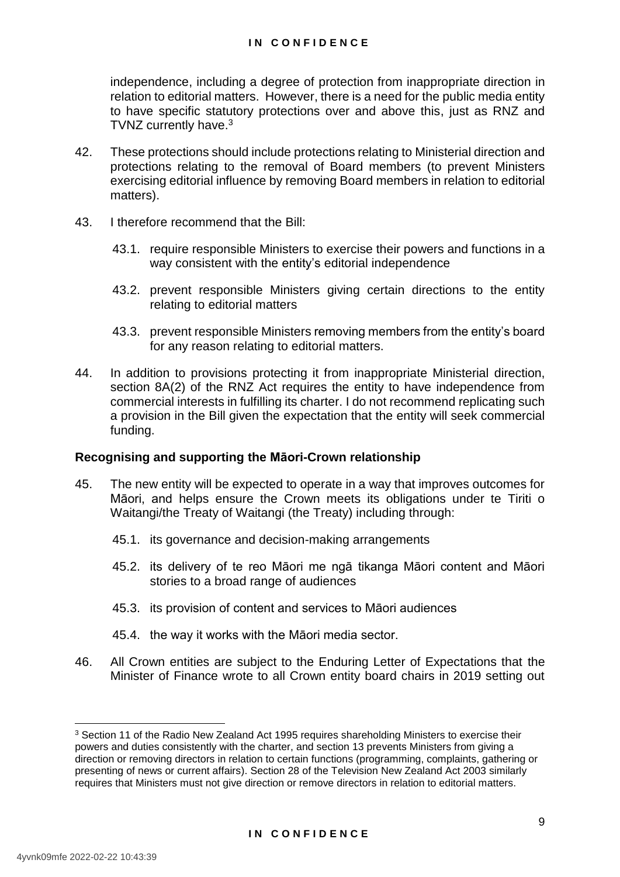independence, including a degree of protection from inappropriate direction in relation to editorial matters. However, there is a need for the public media entity to have specific statutory protections over and above this, just as RNZ and TVNZ currently have.<sup>3</sup>

- 42. These protections should include protections relating to Ministerial direction and protections relating to the removal of Board members (to prevent Ministers exercising editorial influence by removing Board members in relation to editorial matters).
- 43. I therefore recommend that the Bill:
	- 43.1. require responsible Ministers to exercise their powers and functions in a way consistent with the entity's editorial independence
	- 43.2. prevent responsible Ministers giving certain directions to the entity relating to editorial matters
	- 43.3. prevent responsible Ministers removing members from the entity's board for any reason relating to editorial matters.
- 44. In addition to provisions protecting it from inappropriate Ministerial direction, section 8A(2) of the RNZ Act requires the entity to have independence from commercial interests in fulfilling its charter. I do not recommend replicating such a provision in the Bill given the expectation that the entity will seek commercial funding.

#### **Recognising and supporting the Māori-Crown relationship**

- 45. The new entity will be expected to operate in a way that improves outcomes for Māori, and helps ensure the Crown meets its obligations under te Tiriti o Waitangi/the Treaty of Waitangi (the Treaty) including through:
	- 45.1. its governance and decision-making arrangements
	- 45.2. its delivery of te reo Māori me ngā tikanga Māori content and Māori stories to a broad range of audiences
	- 45.3. its provision of content and services to Māori audiences
	- 45.4. the way it works with the Māori media sector.
- 46. All Crown entities are subject to the Enduring Letter of Expectations that the Minister of Finance wrote to all Crown entity board chairs in 2019 setting out

-

<sup>&</sup>lt;sup>3</sup> Section 11 of the Radio New Zealand Act 1995 requires shareholding Ministers to exercise their powers and duties consistently with the charter, and section 13 prevents Ministers from giving a direction or removing directors in relation to certain functions (programming, complaints, gathering or presenting of news or current affairs). Section 28 of the Television New Zealand Act 2003 similarly requires that Ministers must not give direction or remove directors in relation to editorial matters.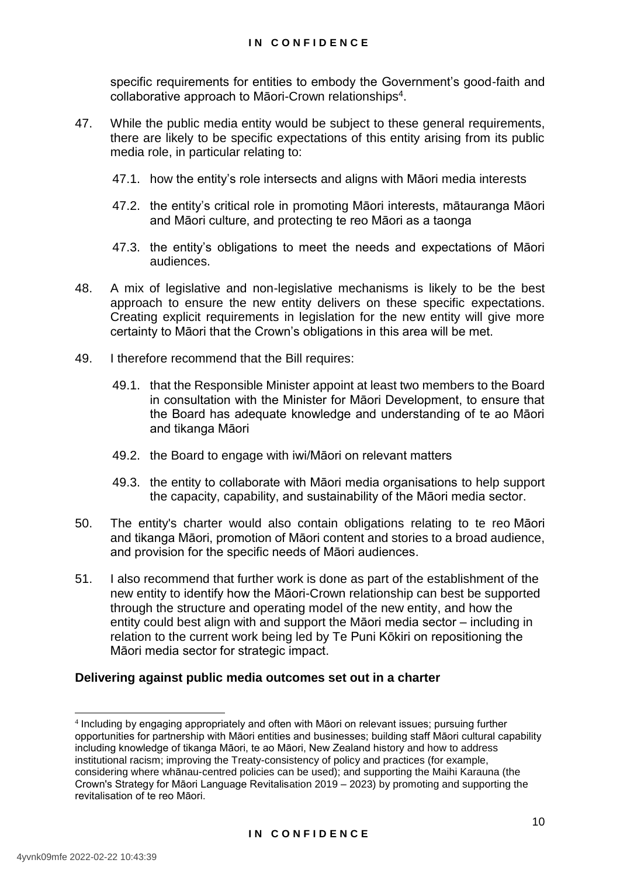specific requirements for entities to embody the Government's good-faith and collaborative approach to Māori-Crown relationships<sup>4</sup>.

- 47. While the public media entity would be subject to these general requirements, there are likely to be specific expectations of this entity arising from its public media role, in particular relating to:
	- 47.1. how the entity's role intersects and aligns with Māori media interests
	- 47.2. the entity's critical role in promoting Māori interests, mātauranga Māori and Māori culture, and protecting te reo Māori as a taonga
	- 47.3. the entity's obligations to meet the needs and expectations of Māori audiences.
- 48. A mix of legislative and non-legislative mechanisms is likely to be the best approach to ensure the new entity delivers on these specific expectations. Creating explicit requirements in legislation for the new entity will give more certainty to Māori that the Crown's obligations in this area will be met.
- 49. I therefore recommend that the Bill requires:
	- 49.1. that the Responsible Minister appoint at least two members to the Board in consultation with the Minister for Māori Development, to ensure that the Board has adequate knowledge and understanding of te ao Māori and tikanga Māori
	- 49.2. the Board to engage with iwi/Māori on relevant matters
	- 49.3. the entity to collaborate with Māori media organisations to help support the capacity, capability, and sustainability of the Māori media sector.
- 50. The entity's charter would also contain obligations relating to te reo Māori and tikanga Māori, promotion of Māori content and stories to a broad audience, and provision for the specific needs of Māori audiences.
- 51. I also recommend that further work is done as part of the establishment of the new entity to identify how the Māori-Crown relationship can best be supported through the structure and operating model of the new entity, and how the entity could best align with and support the Māori media sector – including in relation to the current work being led by Te Puni Kōkiri on repositioning the Māori media sector for strategic impact.

#### **Delivering against public media outcomes set out in a charter**

-

<sup>4</sup> Including by engaging appropriately and often with Māori on relevant issues; pursuing further opportunities for partnership with Māori entities and businesses; building staff Māori cultural capability including knowledge of tikanga Māori, te ao Māori, New Zealand history and how to address institutional racism; improving the Treaty-consistency of policy and practices (for example, considering where whānau-centred policies can be used); and supporting the Maihi Karauna (the Crown's Strategy for Māori Language Revitalisation 2019 – 2023) by promoting and supporting the revitalisation of te reo Māori.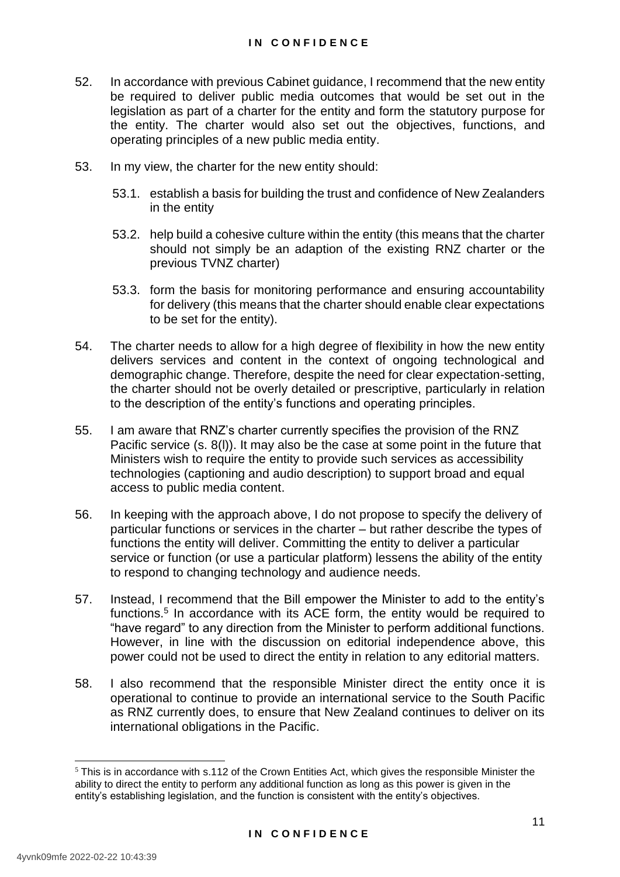- 52. In accordance with previous Cabinet guidance, I recommend that the new entity be required to deliver public media outcomes that would be set out in the legislation as part of a charter for the entity and form the statutory purpose for the entity. The charter would also set out the objectives, functions, and operating principles of a new public media entity.
- 53. In my view, the charter for the new entity should:
	- 53.1. establish a basis for building the trust and confidence of New Zealanders in the entity
	- 53.2. help build a cohesive culture within the entity (this means that the charter should not simply be an adaption of the existing RNZ charter or the previous TVNZ charter)
	- 53.3. form the basis for monitoring performance and ensuring accountability for delivery (this means that the charter should enable clear expectations to be set for the entity).
- 54. The charter needs to allow for a high degree of flexibility in how the new entity delivers services and content in the context of ongoing technological and demographic change. Therefore, despite the need for clear expectation-setting, the charter should not be overly detailed or prescriptive, particularly in relation to the description of the entity's functions and operating principles.
- 55. I am aware that RNZ's charter currently specifies the provision of the RNZ Pacific service (s. 8(l)). It may also be the case at some point in the future that Ministers wish to require the entity to provide such services as accessibility technologies (captioning and audio description) to support broad and equal access to public media content.
- 56. In keeping with the approach above, I do not propose to specify the delivery of particular functions or services in the charter – but rather describe the types of functions the entity will deliver. Committing the entity to deliver a particular service or function (or use a particular platform) lessens the ability of the entity to respond to changing technology and audience needs.
- 57. Instead, I recommend that the Bill empower the Minister to add to the entity's functions.<sup>5</sup> In accordance with its ACE form, the entity would be required to "have regard" to any direction from the Minister to perform additional functions. However, in line with the discussion on editorial independence above, this power could not be used to direct the entity in relation to any editorial matters.
- 58. I also recommend that the responsible Minister direct the entity once it is operational to continue to provide an international service to the South Pacific as RNZ currently does, to ensure that New Zealand continues to deliver on its international obligations in the Pacific.

<sup>-</sup> $5$  This is in accordance with s.112 of the Crown Entities Act, which gives the responsible Minister the ability to direct the entity to perform any additional function as long as this power is given in the entity's establishing legislation, and the function is consistent with the entity's objectives.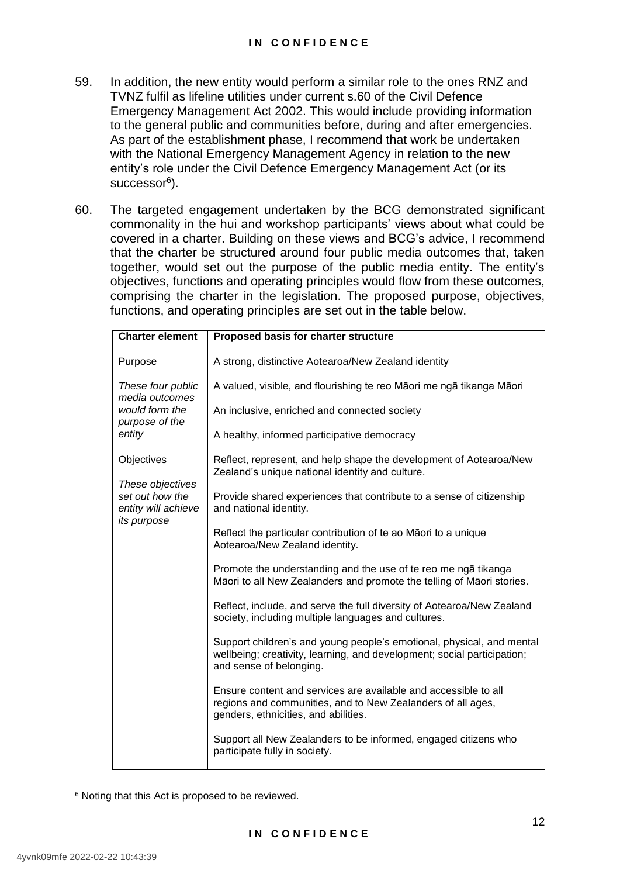- 59. In addition, the new entity would perform a similar role to the ones RNZ and TVNZ fulfil as lifeline utilities under current s.60 of the Civil Defence Emergency Management Act 2002. This would include providing information to the general public and communities before, during and after emergencies. As part of the establishment phase, I recommend that work be undertaken with the National Emergency Management Agency in relation to the new entity's role under the Civil Defence Emergency Management Act (or its successor<sup>6</sup>).
- 60. The targeted engagement undertaken by the BCG demonstrated significant commonality in the hui and workshop participants' views about what could be covered in a charter. Building on these views and BCG's advice, I recommend that the charter be structured around four public media outcomes that, taken together, would set out the purpose of the public media entity. The entity's objectives, functions and operating principles would flow from these outcomes, comprising the charter in the legislation. The proposed purpose, objectives, functions, and operating principles are set out in the table below.

| <b>Charter element</b>                                                    | Proposed basis for charter structure                                                                                                                                        |  |  |  |
|---------------------------------------------------------------------------|-----------------------------------------------------------------------------------------------------------------------------------------------------------------------------|--|--|--|
| Purpose                                                                   | A strong, distinctive Aotearoa/New Zealand identity                                                                                                                         |  |  |  |
| These four public<br>media outcomes                                       | A valued, visible, and flourishing te reo Māori me ngā tikanga Māori                                                                                                        |  |  |  |
| would form the<br>purpose of the                                          | An inclusive, enriched and connected society                                                                                                                                |  |  |  |
| entity                                                                    | A healthy, informed participative democracy                                                                                                                                 |  |  |  |
| Objectives                                                                | Reflect, represent, and help shape the development of Aotearoa/New<br>Zealand's unique national identity and culture.                                                       |  |  |  |
| These objectives<br>set out how the<br>entity will achieve<br>its purpose | Provide shared experiences that contribute to a sense of citizenship<br>and national identity.                                                                              |  |  |  |
|                                                                           | Reflect the particular contribution of te ao Māori to a unique<br>Aotearoa/New Zealand identity.                                                                            |  |  |  |
|                                                                           | Promote the understanding and the use of te reo me ngā tikanga<br>Māori to all New Zealanders and promote the telling of Māori stories.                                     |  |  |  |
|                                                                           | Reflect, include, and serve the full diversity of Aotearoa/New Zealand<br>society, including multiple languages and cultures.                                               |  |  |  |
|                                                                           | Support children's and young people's emotional, physical, and mental<br>wellbeing; creativity, learning, and development; social participation;<br>and sense of belonging. |  |  |  |
|                                                                           | Ensure content and services are available and accessible to all<br>regions and communities, and to New Zealanders of all ages,<br>genders, ethnicities, and abilities.      |  |  |  |
|                                                                           | Support all New Zealanders to be informed, engaged citizens who<br>participate fully in society.                                                                            |  |  |  |

-<sup>6</sup> Noting that this Act is proposed to be reviewed.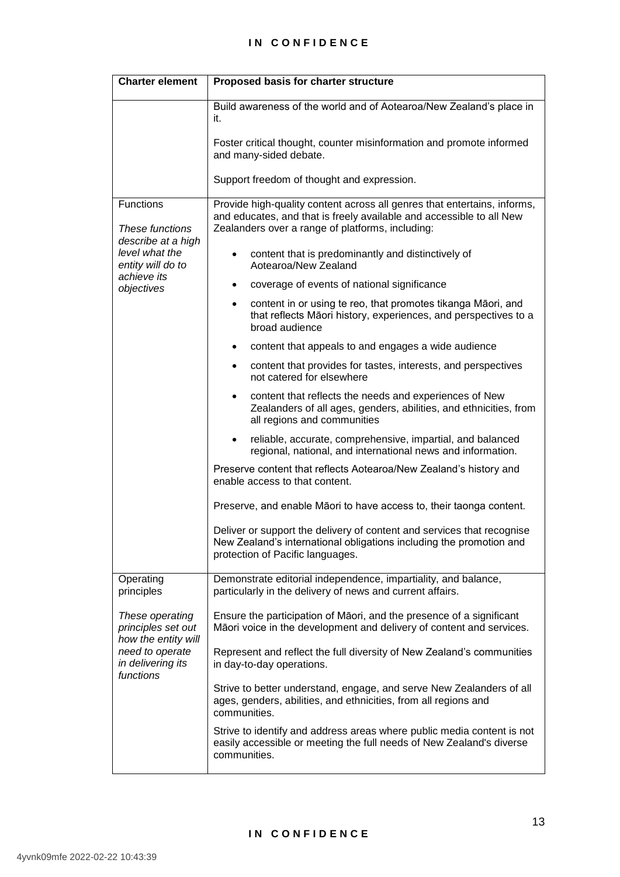#### **I N C O N F I D E N C E**

| <b>Charter element</b>                                                                                            | Proposed basis for charter structure                                                                                                                                                                                                                       |  |  |  |  |
|-------------------------------------------------------------------------------------------------------------------|------------------------------------------------------------------------------------------------------------------------------------------------------------------------------------------------------------------------------------------------------------|--|--|--|--|
|                                                                                                                   | Build awareness of the world and of Aotearoa/New Zealand's place in<br>it.                                                                                                                                                                                 |  |  |  |  |
|                                                                                                                   | Foster critical thought, counter misinformation and promote informed<br>and many-sided debate.                                                                                                                                                             |  |  |  |  |
|                                                                                                                   | Support freedom of thought and expression.                                                                                                                                                                                                                 |  |  |  |  |
| Functions<br>These functions<br>describe at a high<br>level what the                                              | Provide high-quality content across all genres that entertains, informs,<br>and educates, and that is freely available and accessible to all New<br>Zealanders over a range of platforms, including:<br>content that is predominantly and distinctively of |  |  |  |  |
| entity will do to<br>achieve its                                                                                  | Aotearoa/New Zealand                                                                                                                                                                                                                                       |  |  |  |  |
| objectives                                                                                                        | coverage of events of national significance                                                                                                                                                                                                                |  |  |  |  |
|                                                                                                                   | content in or using te reo, that promotes tikanga Māori, and<br>$\bullet$<br>that reflects Māori history, experiences, and perspectives to a<br>broad audience                                                                                             |  |  |  |  |
|                                                                                                                   | content that appeals to and engages a wide audience<br>$\bullet$                                                                                                                                                                                           |  |  |  |  |
|                                                                                                                   | content that provides for tastes, interests, and perspectives<br>$\bullet$<br>not catered for elsewhere                                                                                                                                                    |  |  |  |  |
|                                                                                                                   | content that reflects the needs and experiences of New<br>٠<br>Zealanders of all ages, genders, abilities, and ethnicities, from<br>all regions and communities                                                                                            |  |  |  |  |
|                                                                                                                   | reliable, accurate, comprehensive, impartial, and balanced<br>$\bullet$<br>regional, national, and international news and information.                                                                                                                     |  |  |  |  |
|                                                                                                                   | Preserve content that reflects Aotearoa/New Zealand's history and<br>enable access to that content.                                                                                                                                                        |  |  |  |  |
|                                                                                                                   | Preserve, and enable Māori to have access to, their taonga content.                                                                                                                                                                                        |  |  |  |  |
|                                                                                                                   | Deliver or support the delivery of content and services that recognise<br>New Zealand's international obligations including the promotion and<br>protection of Pacific languages.                                                                          |  |  |  |  |
| Operating<br>principles                                                                                           | Demonstrate editorial independence, impartiality, and balance,<br>particularly in the delivery of news and current affairs.                                                                                                                                |  |  |  |  |
| These operating<br>principles set out<br>how the entity will<br>need to operate<br>in delivering its<br>functions | Ensure the participation of Māori, and the presence of a significant<br>Māori voice in the development and delivery of content and services.                                                                                                               |  |  |  |  |
|                                                                                                                   | Represent and reflect the full diversity of New Zealand's communities<br>in day-to-day operations.                                                                                                                                                         |  |  |  |  |
|                                                                                                                   | Strive to better understand, engage, and serve New Zealanders of all<br>ages, genders, abilities, and ethnicities, from all regions and<br>communities.                                                                                                    |  |  |  |  |
|                                                                                                                   | Strive to identify and address areas where public media content is not<br>easily accessible or meeting the full needs of New Zealand's diverse<br>communities.                                                                                             |  |  |  |  |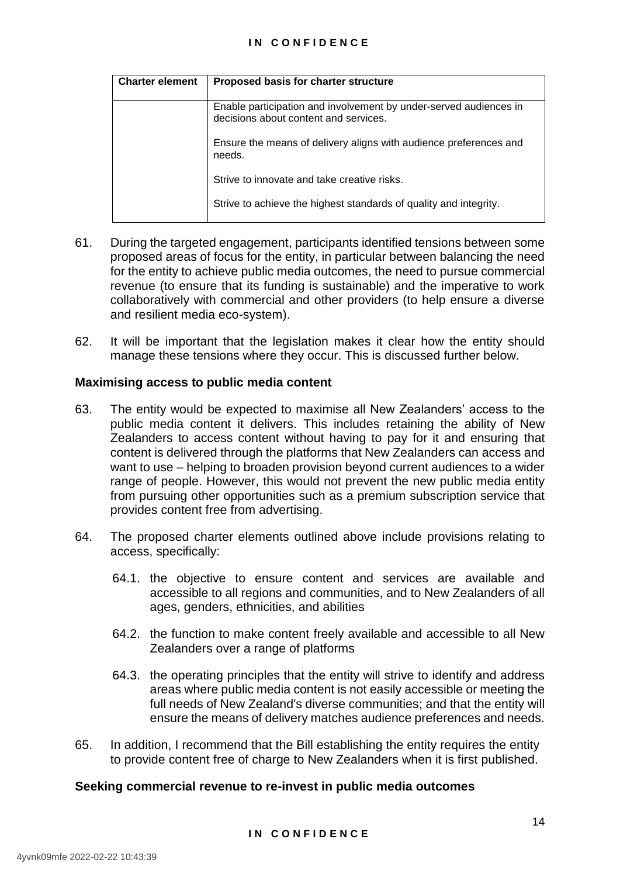#### **I N C O N F I D E N C E**

| <b>Charter element</b> | Proposed basis for charter structure                                                                       |  |  |  |
|------------------------|------------------------------------------------------------------------------------------------------------|--|--|--|
|                        |                                                                                                            |  |  |  |
|                        | Enable participation and involvement by under-served audiences in<br>decisions about content and services. |  |  |  |
|                        | Ensure the means of delivery aligns with audience preferences and<br>needs.                                |  |  |  |
|                        | Strive to innovate and take creative risks.                                                                |  |  |  |
|                        | Strive to achieve the highest standards of quality and integrity.                                          |  |  |  |

- 61. During the targeted engagement, participants identified tensions between some proposed areas of focus for the entity, in particular between balancing the need for the entity to achieve public media outcomes, the need to pursue commercial revenue (to ensure that its funding is sustainable) and the imperative to work collaboratively with commercial and other providers (to help ensure a diverse and resilient media eco-system).
- 62. It will be important that the legislation makes it clear how the entity should manage these tensions where they occur. This is discussed further below.

#### **Maximising access to public media content**

- 63. The entity would be expected to maximise all New Zealanders' access to the public media content it delivers. This includes retaining the ability of New Zealanders to access content without having to pay for it and ensuring that content is delivered through the platforms that New Zealanders can access and want to use – helping to broaden provision beyond current audiences to a wider range of people. However, this would not prevent the new public media entity from pursuing other opportunities such as a premium subscription service that provides content free from advertising.
- 64. The proposed charter elements outlined above include provisions relating to access, specifically:
	- 64.1. the objective to ensure content and services are available and accessible to all regions and communities, and to New Zealanders of all ages, genders, ethnicities, and abilities
	- 64.2. the function to make content freely available and accessible to all New Zealanders over a range of platforms
	- 64.3. the operating principles that the entity will strive to identify and address areas where public media content is not easily accessible or meeting the full needs of New Zealand's diverse communities; and that the entity will ensure the means of delivery matches audience preferences and needs.
- 65. In addition, I recommend that the Bill establishing the entity requires the entity to provide content free of charge to New Zealanders when it is first published.

#### **Seeking commercial revenue to re-invest in public media outcomes**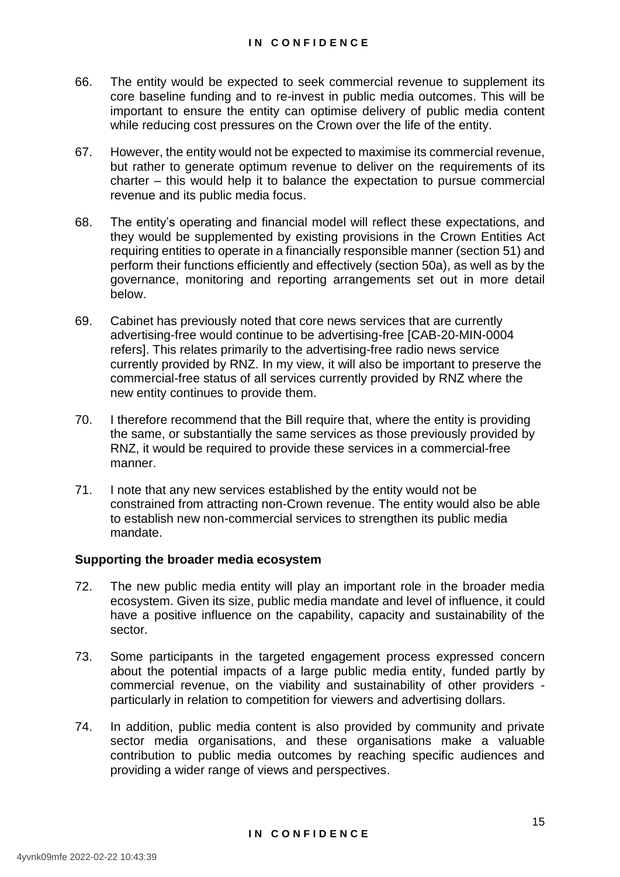- 66. The entity would be expected to seek commercial revenue to supplement its core baseline funding and to re-invest in public media outcomes. This will be important to ensure the entity can optimise delivery of public media content while reducing cost pressures on the Crown over the life of the entity.
- 67. However, the entity would not be expected to maximise its commercial revenue, but rather to generate optimum revenue to deliver on the requirements of its charter – this would help it to balance the expectation to pursue commercial revenue and its public media focus.
- 68. The entity's operating and financial model will reflect these expectations, and they would be supplemented by existing provisions in the Crown Entities Act requiring entities to operate in a financially responsible manner (section 51) and perform their functions efficiently and effectively (section 50a), as well as by the governance, monitoring and reporting arrangements set out in more detail below.
- 69. Cabinet has previously noted that core news services that are currently advertising-free would continue to be advertising-free [CAB-20-MIN-0004 refers]. This relates primarily to the advertising-free radio news service currently provided by RNZ. In my view, it will also be important to preserve the commercial-free status of all services currently provided by RNZ where the new entity continues to provide them.
- 70. I therefore recommend that the Bill require that, where the entity is providing the same, or substantially the same services as those previously provided by RNZ, it would be required to provide these services in a commercial-free manner.
- 71. I note that any new services established by the entity would not be constrained from attracting non-Crown revenue. The entity would also be able to establish new non-commercial services to strengthen its public media mandate.

#### **Supporting the broader media ecosystem**

- 72. The new public media entity will play an important role in the broader media ecosystem. Given its size, public media mandate and level of influence, it could have a positive influence on the capability, capacity and sustainability of the sector.
- 73. Some participants in the targeted engagement process expressed concern about the potential impacts of a large public media entity, funded partly by commercial revenue, on the viability and sustainability of other providers particularly in relation to competition for viewers and advertising dollars.
- 74. In addition, public media content is also provided by community and private sector media organisations, and these organisations make a valuable contribution to public media outcomes by reaching specific audiences and providing a wider range of views and perspectives.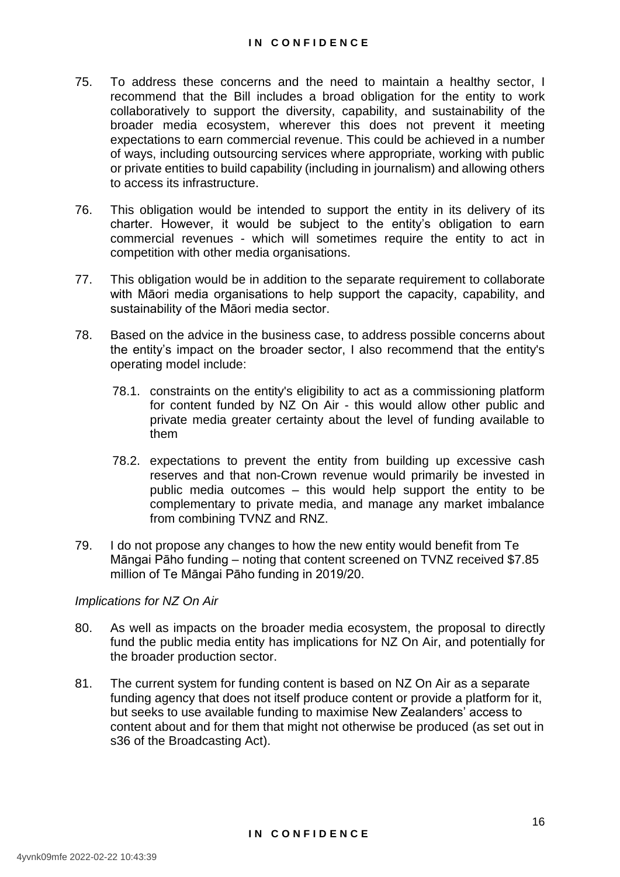- 75. To address these concerns and the need to maintain a healthy sector, I recommend that the Bill includes a broad obligation for the entity to work collaboratively to support the diversity, capability, and sustainability of the broader media ecosystem, wherever this does not prevent it meeting expectations to earn commercial revenue. This could be achieved in a number of ways, including outsourcing services where appropriate, working with public or private entities to build capability (including in journalism) and allowing others to access its infrastructure.
- 76. This obligation would be intended to support the entity in its delivery of its charter. However, it would be subject to the entity's obligation to earn commercial revenues - which will sometimes require the entity to act in competition with other media organisations.
- 77. This obligation would be in addition to the separate requirement to collaborate with Māori media organisations to help support the capacity, capability, and sustainability of the Māori media sector.
- 78. Based on the advice in the business case, to address possible concerns about the entity's impact on the broader sector, I also recommend that the entity's operating model include:
	- 78.1. constraints on the entity's eligibility to act as a commissioning platform for content funded by NZ On Air - this would allow other public and private media greater certainty about the level of funding available to them
	- 78.2. expectations to prevent the entity from building up excessive cash reserves and that non-Crown revenue would primarily be invested in public media outcomes – this would help support the entity to be complementary to private media, and manage any market imbalance from combining TVNZ and RNZ.
- 79. I do not propose any changes to how the new entity would benefit from Te Māngai Pāho funding – noting that content screened on TVNZ received \$7.85 million of Te Māngai Pāho funding in 2019/20.

#### *Implications for NZ On Air*

- 80. As well as impacts on the broader media ecosystem, the proposal to directly fund the public media entity has implications for NZ On Air, and potentially for the broader production sector.
- 81. The current system for funding content is based on NZ On Air as a separate funding agency that does not itself produce content or provide a platform for it, but seeks to use available funding to maximise New Zealanders' access to content about and for them that might not otherwise be produced (as set out in s36 of the Broadcasting Act).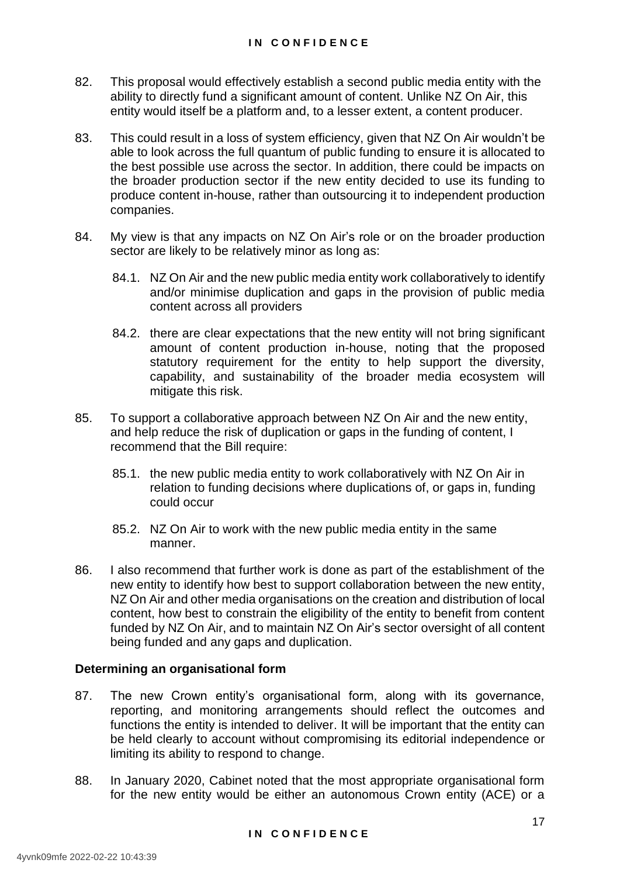- 82. This proposal would effectively establish a second public media entity with the ability to directly fund a significant amount of content. Unlike NZ On Air, this entity would itself be a platform and, to a lesser extent, a content producer.
- 83. This could result in a loss of system efficiency, given that NZ On Air wouldn't be able to look across the full quantum of public funding to ensure it is allocated to the best possible use across the sector. In addition, there could be impacts on the broader production sector if the new entity decided to use its funding to produce content in-house, rather than outsourcing it to independent production companies.
- 84. My view is that any impacts on NZ On Air's role or on the broader production sector are likely to be relatively minor as long as:
	- 84.1. NZ On Air and the new public media entity work collaboratively to identify and/or minimise duplication and gaps in the provision of public media content across all providers
	- 84.2. there are clear expectations that the new entity will not bring significant amount of content production in-house, noting that the proposed statutory requirement for the entity to help support the diversity, capability, and sustainability of the broader media ecosystem will mitigate this risk.
- 85. To support a collaborative approach between NZ On Air and the new entity, and help reduce the risk of duplication or gaps in the funding of content, I recommend that the Bill require:
	- 85.1. the new public media entity to work collaboratively with NZ On Air in relation to funding decisions where duplications of, or gaps in, funding could occur
	- 85.2. NZ On Air to work with the new public media entity in the same manner.
- 86. I also recommend that further work is done as part of the establishment of the new entity to identify how best to support collaboration between the new entity, NZ On Air and other media organisations on the creation and distribution of local content, how best to constrain the eligibility of the entity to benefit from content funded by NZ On Air, and to maintain NZ On Air's sector oversight of all content being funded and any gaps and duplication.

# **Determining an organisational form**

- 87. The new Crown entity's organisational form, along with its governance, reporting, and monitoring arrangements should reflect the outcomes and functions the entity is intended to deliver. It will be important that the entity can be held clearly to account without compromising its editorial independence or limiting its ability to respond to change.
- 88. In January 2020, Cabinet noted that the most appropriate organisational form for the new entity would be either an autonomous Crown entity (ACE) or a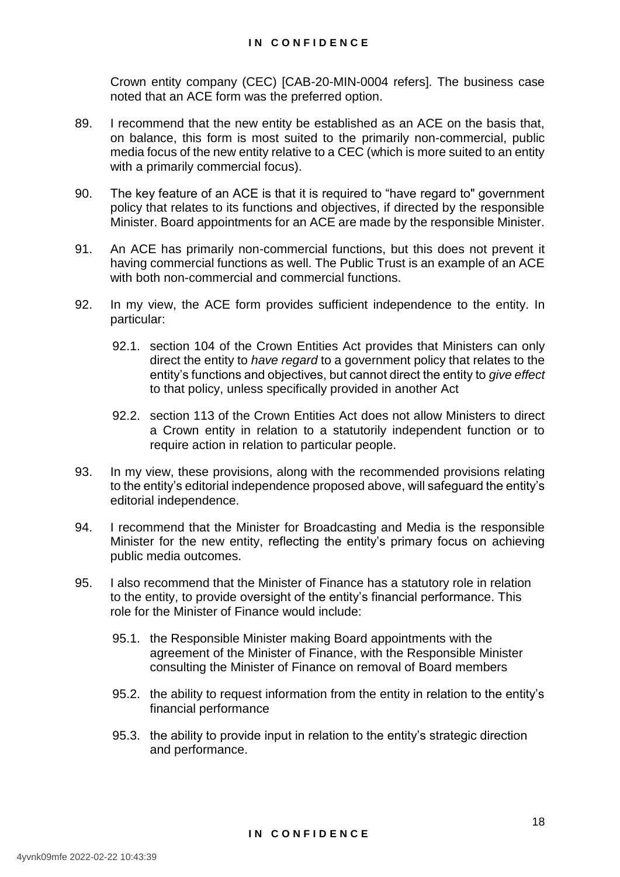Crown entity company (CEC) [CAB-20-MIN-0004 refers]. The business case noted that an ACE form was the preferred option.

- 89. I recommend that the new entity be established as an ACE on the basis that, on balance, this form is most suited to the primarily non-commercial, public media focus of the new entity relative to a CEC (which is more suited to an entity with a primarily commercial focus).
- 90. The key feature of an ACE is that it is required to "have regard to" government policy that relates to its functions and objectives, if directed by the responsible Minister. Board appointments for an ACE are made by the responsible Minister.
- 91. An ACE has primarily non-commercial functions, but this does not prevent it having commercial functions as well. The Public Trust is an example of an ACE with both non-commercial and commercial functions.
- 92. In my view, the ACE form provides sufficient independence to the entity. In particular:
	- 92.1. section 104 of the Crown Entities Act provides that Ministers can only direct the entity to *have regard* to a government policy that relates to the entity's functions and objectives, but cannot direct the entity to *give effect* to that policy, unless specifically provided in another Act
	- 92.2. section 113 of the Crown Entities Act does not allow Ministers to direct a Crown entity in relation to a statutorily independent function or to require action in relation to particular people.
- 93. In my view, these provisions, along with the recommended provisions relating to the entity's editorial independence proposed above, will safeguard the entity's editorial independence.
- 94. I recommend that the Minister for Broadcasting and Media is the responsible Minister for the new entity, reflecting the entity's primary focus on achieving public media outcomes.
- 95. I also recommend that the Minister of Finance has a statutory role in relation to the entity, to provide oversight of the entity's financial performance. This role for the Minister of Finance would include:
	- 95.1. the Responsible Minister making Board appointments with the agreement of the Minister of Finance, with the Responsible Minister consulting the Minister of Finance on removal of Board members
	- 95.2. the ability to request information from the entity in relation to the entity's financial performance
	- 95.3. the ability to provide input in relation to the entity's strategic direction and performance.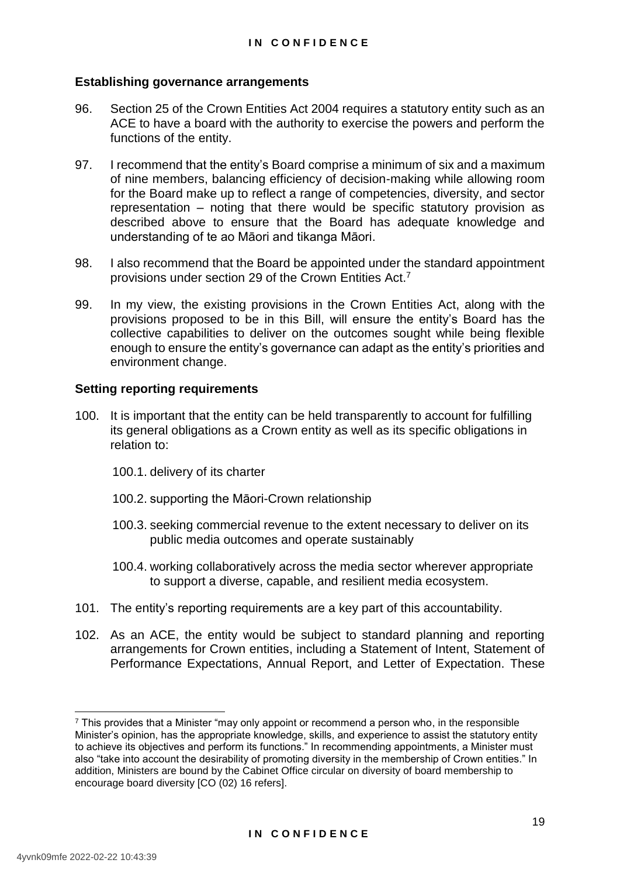#### **Establishing governance arrangements**

- 96. Section 25 of the Crown Entities Act 2004 requires a statutory entity such as an ACE to have a board with the authority to exercise the powers and perform the functions of the entity.
- 97. I recommend that the entity's Board comprise a minimum of six and a maximum of nine members, balancing efficiency of decision-making while allowing room for the Board make up to reflect a range of competencies, diversity, and sector representation – noting that there would be specific statutory provision as described above to ensure that the Board has adequate knowledge and understanding of te ao Māori and tikanga Māori.
- 98. I also recommend that the Board be appointed under the standard appointment provisions under section 29 of the Crown Entities Act.<sup>7</sup>
- 99. In my view, the existing provisions in the Crown Entities Act, along with the provisions proposed to be in this Bill, will ensure the entity's Board has the collective capabilities to deliver on the outcomes sought while being flexible enough to ensure the entity's governance can adapt as the entity's priorities and environment change.

#### **Setting reporting requirements**

- 100. It is important that the entity can be held transparently to account for fulfilling its general obligations as a Crown entity as well as its specific obligations in relation to:
	- 100.1. delivery of its charter
	- 100.2. supporting the Māori-Crown relationship
	- 100.3. seeking commercial revenue to the extent necessary to deliver on its public media outcomes and operate sustainably
	- 100.4. working collaboratively across the media sector wherever appropriate to support a diverse, capable, and resilient media ecosystem.
- 101. The entity's reporting requirements are a key part of this accountability.
- 102. As an ACE, the entity would be subject to standard planning and reporting arrangements for Crown entities, including a Statement of Intent, Statement of Performance Expectations, Annual Report, and Letter of Expectation. These

-

 $\frac{7}{1}$  This provides that a Minister "may only appoint or recommend a person who, in the responsible Minister's opinion, has the appropriate knowledge, skills, and experience to assist the statutory entity to achieve its objectives and perform its functions." In recommending appointments, a Minister must also "take into account the desirability of promoting diversity in the membership of Crown entities." In addition, Ministers are bound by the Cabinet Office circular on diversity of board membership to encourage board diversity [CO (02) 16 refers].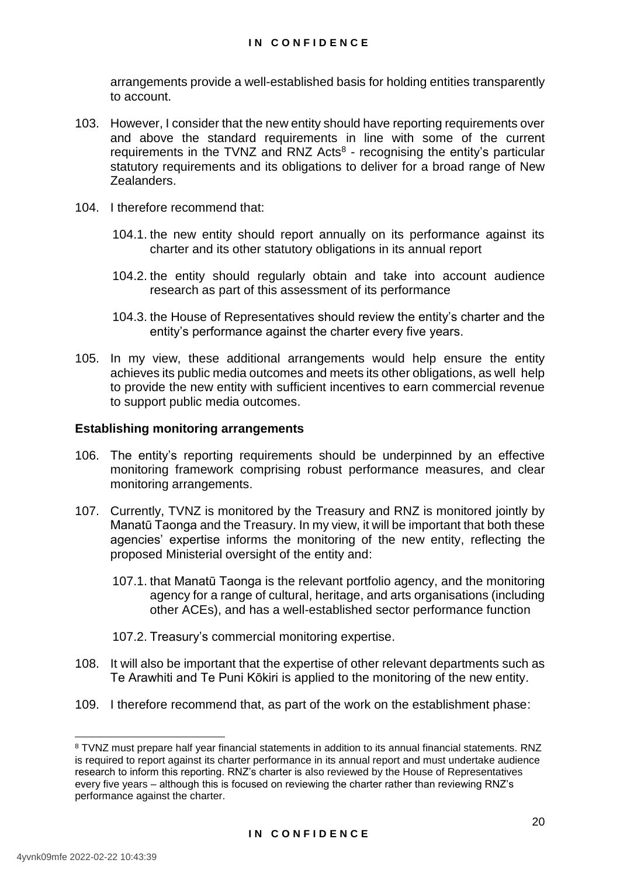arrangements provide a well-established basis for holding entities transparently to account.

- 103. However, I consider that the new entity should have reporting requirements over and above the standard requirements in line with some of the current requirements in the TVNZ and RNZ Acts $8$  - recognising the entity's particular statutory requirements and its obligations to deliver for a broad range of New Zealanders.
- 104. I therefore recommend that:
	- 104.1. the new entity should report annually on its performance against its charter and its other statutory obligations in its annual report
	- 104.2. the entity should regularly obtain and take into account audience research as part of this assessment of its performance
	- 104.3. the House of Representatives should review the entity's charter and the entity's performance against the charter every five years.
- 105. In my view, these additional arrangements would help ensure the entity achieves its public media outcomes and meets its other obligations, as well help to provide the new entity with sufficient incentives to earn commercial revenue to support public media outcomes.

#### **Establishing monitoring arrangements**

- 106. The entity's reporting requirements should be underpinned by an effective monitoring framework comprising robust performance measures, and clear monitoring arrangements.
- 107. Currently, TVNZ is monitored by the Treasury and RNZ is monitored jointly by Manatū Taonga and the Treasury. In my view, it will be important that both these agencies' expertise informs the monitoring of the new entity, reflecting the proposed Ministerial oversight of the entity and:
	- 107.1. that Manatū Taonga is the relevant portfolio agency, and the monitoring agency for a range of cultural, heritage, and arts organisations (including other ACEs), and has a well-established sector performance function
	- 107.2. Treasury's commercial monitoring expertise.
- 108. It will also be important that the expertise of other relevant departments such as Te Arawhiti and Te Puni Kōkiri is applied to the monitoring of the new entity.
- 109. I therefore recommend that, as part of the work on the establishment phase:

-

<sup>8</sup> TVNZ must prepare half year financial statements in addition to its annual financial statements. RNZ is required to report against its charter performance in its annual report and must undertake audience research to inform this reporting. RNZ's charter is also reviewed by the House of Representatives every five years – although this is focused on reviewing the charter rather than reviewing RNZ's performance against the charter.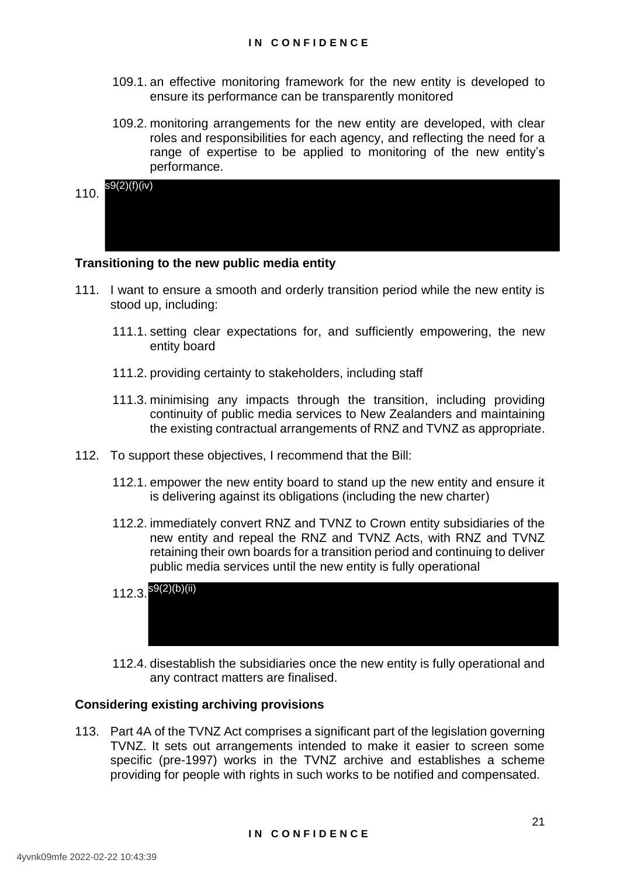- 109.1. an effective monitoring framework for the new entity is developed to ensure its performance can be transparently monitored
- 109.2. monitoring arrangements for the new entity are developed, with clear roles and responsibilities for each agency, and reflecting the need for a range of expertise to be applied to monitoring of the new entity's performance.

| 110. | s9(2)(f)(iv) |  |  |  |  |
|------|--------------|--|--|--|--|
|      |              |  |  |  |  |
|      |              |  |  |  |  |

#### **Transitioning to the new public media entity**

- 111. I want to ensure a smooth and orderly transition period while the new entity is stood up, including:
	- 111.1. setting clear expectations for, and sufficiently empowering, the new entity board
	- 111.2. providing certainty to stakeholders, including staff
	- 111.3. minimising any impacts through the transition, including providing continuity of public media services to New Zealanders and maintaining the existing contractual arrangements of RNZ and TVNZ as appropriate.
- 112. To support these objectives, I recommend that the Bill:
	- 112.1. empower the new entity board to stand up the new entity and ensure it is delivering against its obligations (including the new charter)
	- 112.2. immediately convert RNZ and TVNZ to Crown entity subsidiaries of the new entity and repeal the RNZ and TVNZ Acts, with RNZ and TVNZ retaining their own boards for a transition period and continuing to deliver public media services until the new entity is fully operational

| $112.3.$ ${}^{S9(2)(b)(ii)}$ |  |  |  |  |
|------------------------------|--|--|--|--|
|                              |  |  |  |  |
|                              |  |  |  |  |

112.4. disestablish the subsidiaries once the new entity is fully operational and any contract matters are finalised.

#### **Considering existing archiving provisions**

113. Part 4A of the TVNZ Act comprises a significant part of the legislation governing TVNZ. It sets out arrangements intended to make it easier to screen some specific (pre-1997) works in the TVNZ archive and establishes a scheme providing for people with rights in such works to be notified and compensated.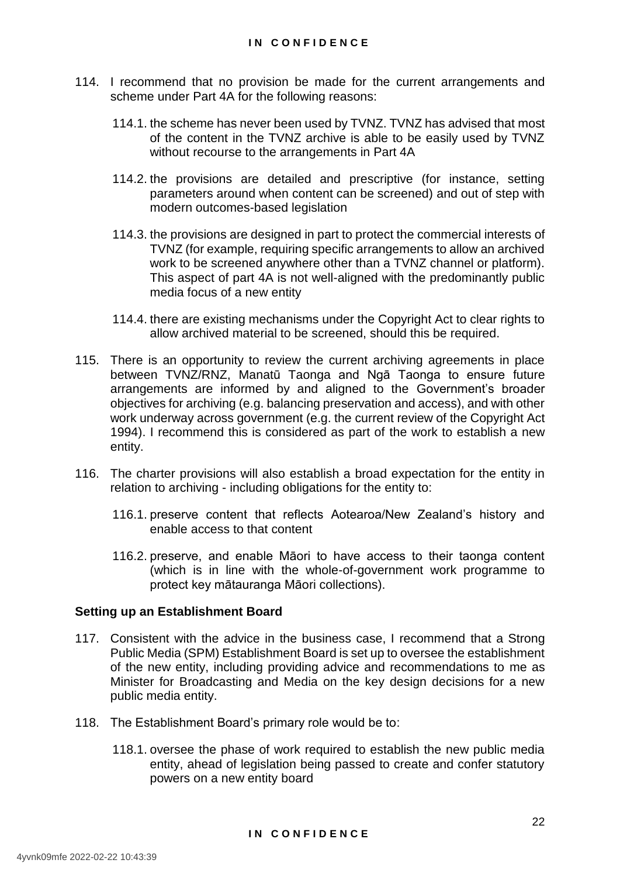- 114. I recommend that no provision be made for the current arrangements and scheme under Part 4A for the following reasons:
	- 114.1. the scheme has never been used by TVNZ. TVNZ has advised that most of the content in the TVNZ archive is able to be easily used by TVNZ without recourse to the arrangements in Part 4A
	- 114.2. the provisions are detailed and prescriptive (for instance, setting parameters around when content can be screened) and out of step with modern outcomes-based legislation
	- 114.3. the provisions are designed in part to protect the commercial interests of TVNZ (for example, requiring specific arrangements to allow an archived work to be screened anywhere other than a TVNZ channel or platform). This aspect of part 4A is not well-aligned with the predominantly public media focus of a new entity
	- 114.4. there are existing mechanisms under the Copyright Act to clear rights to allow archived material to be screened, should this be required.
- 115. There is an opportunity to review the current archiving agreements in place between TVNZ/RNZ, Manatū Taonga and Ngā Taonga to ensure future arrangements are informed by and aligned to the Government's broader objectives for archiving (e.g. balancing preservation and access), and with other work underway across government (e.g. the current review of the Copyright Act 1994). I recommend this is considered as part of the work to establish a new entity.
- 116. The charter provisions will also establish a broad expectation for the entity in relation to archiving - including obligations for the entity to:
	- 116.1. preserve content that reflects Aotearoa/New Zealand's history and enable access to that content
	- 116.2. preserve, and enable Māori to have access to their taonga content (which is in line with the whole-of-government work programme to protect key mātauranga Māori collections).

#### **Setting up an Establishment Board**

- 117. Consistent with the advice in the business case, I recommend that a Strong Public Media (SPM) Establishment Board is set up to oversee the establishment of the new entity, including providing advice and recommendations to me as Minister for Broadcasting and Media on the key design decisions for a new public media entity.
- 118. The Establishment Board's primary role would be to:
	- 118.1. oversee the phase of work required to establish the new public media entity, ahead of legislation being passed to create and confer statutory powers on a new entity board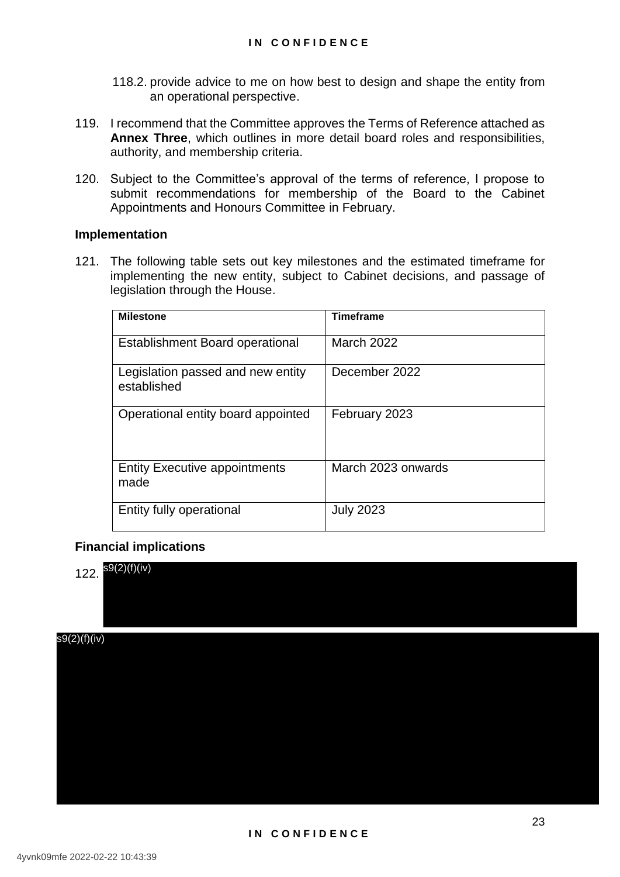- 118.2. provide advice to me on how best to design and shape the entity from an operational perspective.
- 119. I recommend that the Committee approves the Terms of Reference attached as **Annex Three**, which outlines in more detail board roles and responsibilities, authority, and membership criteria.
- 120. Subject to the Committee's approval of the terms of reference, I propose to submit recommendations for membership of the Board to the Cabinet Appointments and Honours Committee in February.

#### **Implementation**

121. The following table sets out key milestones and the estimated timeframe for implementing the new entity, subject to Cabinet decisions, and passage of legislation through the House.

| <b>Milestone</b>                                 | <b>Timeframe</b>   |
|--------------------------------------------------|--------------------|
| <b>Establishment Board operational</b>           | <b>March 2022</b>  |
| Legislation passed and new entity<br>established | December 2022      |
| Operational entity board appointed               | February 2023      |
| <b>Entity Executive appointments</b><br>made     | March 2023 onwards |
| Entity fully operational                         | <b>July 2023</b>   |

## **Financial implications**

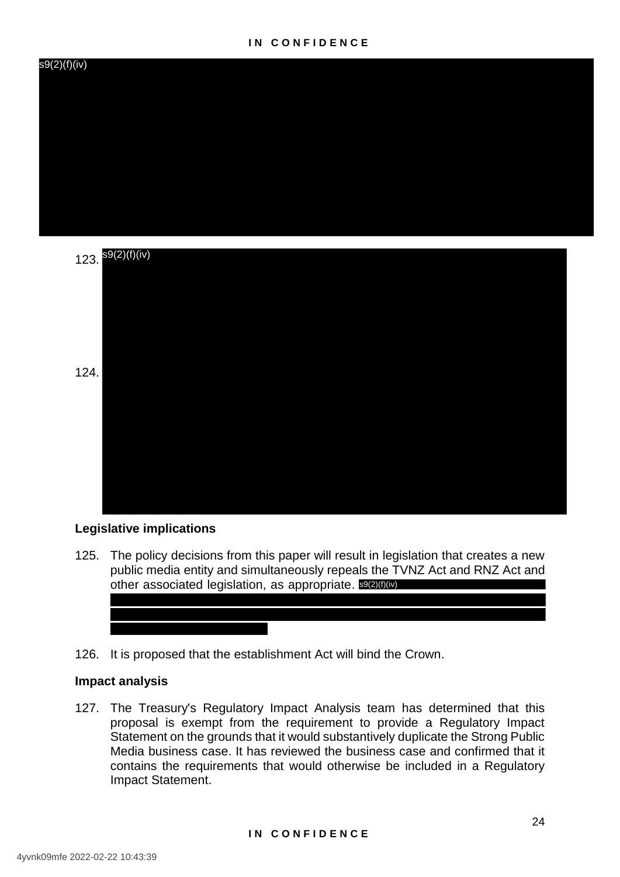#### **I N C O N F I D E N C E**





#### **Legislative implications**

125. The policy decisions from this paper will result in legislation that creates a new public media entity and simultaneously repeals the TVNZ Act and RNZ Act and other associated legislation, as appropriate. SOU (iv)



#### **Impact analysis**

127. The Treasury's Regulatory Impact Analysis team has determined that this proposal is exempt from the requirement to provide a Regulatory Impact Statement on the grounds that it would substantively duplicate the Strong Public Media business case. It has reviewed the business case and confirmed that it contains the requirements that would otherwise be included in a Regulatory Impact Statement.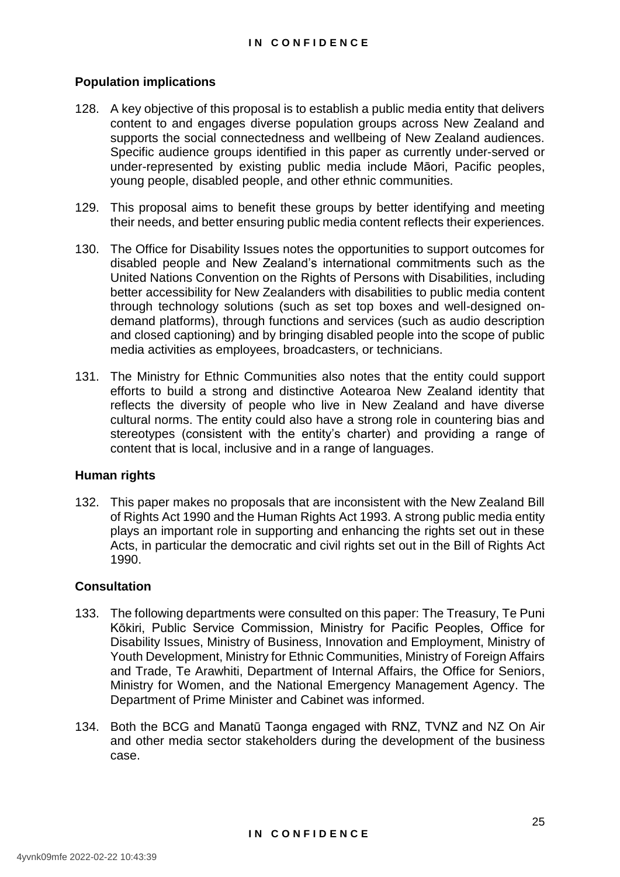#### **Population implications**

- 128. A key objective of this proposal is to establish a public media entity that delivers content to and engages diverse population groups across New Zealand and supports the social connectedness and wellbeing of New Zealand audiences. Specific audience groups identified in this paper as currently under-served or under-represented by existing public media include Māori, Pacific peoples, young people, disabled people, and other ethnic communities.
- 129. This proposal aims to benefit these groups by better identifying and meeting their needs, and better ensuring public media content reflects their experiences.
- 130. The Office for Disability Issues notes the opportunities to support outcomes for disabled people and New Zealand's international commitments such as the United Nations Convention on the Rights of Persons with Disabilities, including better accessibility for New Zealanders with disabilities to public media content through technology solutions (such as set top boxes and well-designed ondemand platforms), through functions and services (such as audio description and closed captioning) and by bringing disabled people into the scope of public media activities as employees, broadcasters, or technicians.
- 131. The Ministry for Ethnic Communities also notes that the entity could support efforts to build a strong and distinctive Aotearoa New Zealand identity that reflects the diversity of people who live in New Zealand and have diverse cultural norms. The entity could also have a strong role in countering bias and stereotypes (consistent with the entity's charter) and providing a range of content that is local, inclusive and in a range of languages.

#### **Human rights**

132. This paper makes no proposals that are inconsistent with the New Zealand Bill of Rights Act 1990 and the Human Rights Act 1993. A strong public media entity plays an important role in supporting and enhancing the rights set out in these Acts, in particular the democratic and civil rights set out in the Bill of Rights Act 1990.

#### **Consultation**

- 133. The following departments were consulted on this paper: The Treasury, Te Puni Kōkiri, Public Service Commission, Ministry for Pacific Peoples, Office for Disability Issues, Ministry of Business, Innovation and Employment, Ministry of Youth Development, Ministry for Ethnic Communities, Ministry of Foreign Affairs and Trade, Te Arawhiti, Department of Internal Affairs, the Office for Seniors, Ministry for Women, and the National Emergency Management Agency. The Department of Prime Minister and Cabinet was informed.
- 134. Both the BCG and Manatū Taonga engaged with RNZ, TVNZ and NZ On Air and other media sector stakeholders during the development of the business case.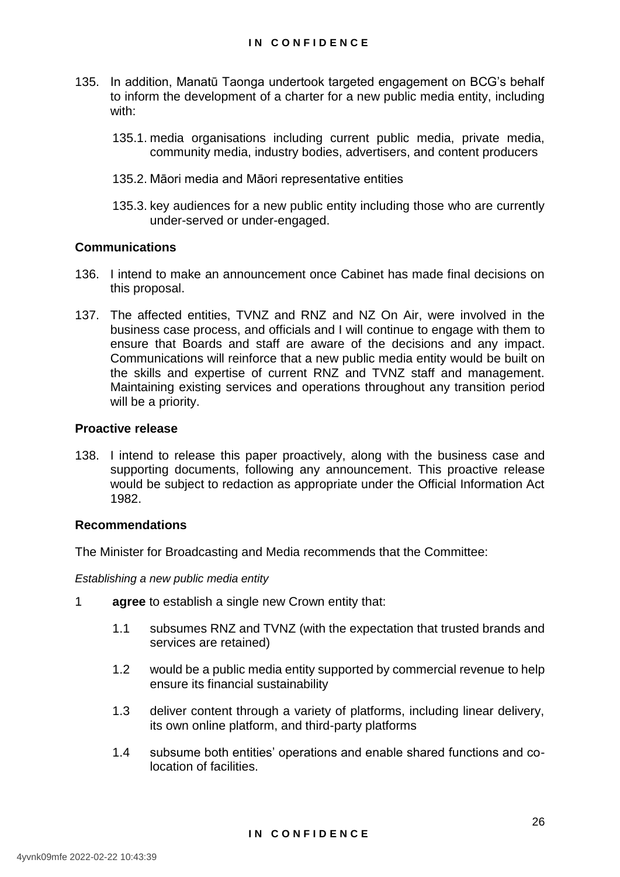- 135. In addition, Manatū Taonga undertook targeted engagement on BCG's behalf to inform the development of a charter for a new public media entity, including with:
	- 135.1. media organisations including current public media, private media, community media, industry bodies, advertisers, and content producers
	- 135.2. Māori media and Māori representative entities
	- 135.3. key audiences for a new public entity including those who are currently under-served or under-engaged.

#### **Communications**

- 136. I intend to make an announcement once Cabinet has made final decisions on this proposal.
- 137. The affected entities, TVNZ and RNZ and NZ On Air, were involved in the business case process, and officials and I will continue to engage with them to ensure that Boards and staff are aware of the decisions and any impact. Communications will reinforce that a new public media entity would be built on the skills and expertise of current RNZ and TVNZ staff and management. Maintaining existing services and operations throughout any transition period will be a priority.

#### **Proactive release**

138. I intend to release this paper proactively, along with the business case and supporting documents, following any announcement. This proactive release would be subject to redaction as appropriate under the Official Information Act 1982.

#### **Recommendations**

The Minister for Broadcasting and Media recommends that the Committee:

*Establishing a new public media entity*

- 1 **agree** to establish a single new Crown entity that:
	- 1.1 subsumes RNZ and TVNZ (with the expectation that trusted brands and services are retained)
	- 1.2 would be a public media entity supported by commercial revenue to help ensure its financial sustainability
	- 1.3 deliver content through a variety of platforms, including linear delivery, its own online platform, and third-party platforms
	- 1.4 subsume both entities' operations and enable shared functions and colocation of facilities.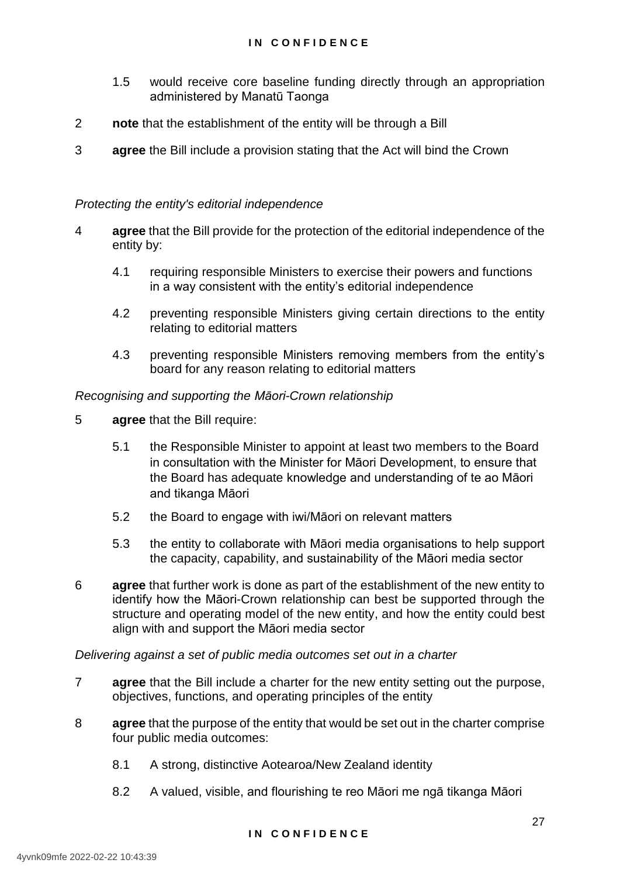- 1.5 would receive core baseline funding directly through an appropriation administered by Manatū Taonga
- 2 **note** that the establishment of the entity will be through a Bill
- 3 **agree** the Bill include a provision stating that the Act will bind the Crown

## *Protecting the entity's editorial independence*

- 4 **agree** that the Bill provide for the protection of the editorial independence of the entity by:
	- 4.1 requiring responsible Ministers to exercise their powers and functions in a way consistent with the entity's editorial independence
	- 4.2 preventing responsible Ministers giving certain directions to the entity relating to editorial matters
	- 4.3 preventing responsible Ministers removing members from the entity's board for any reason relating to editorial matters

#### *Recognising and supporting the Māori-Crown relationship*

- 5 **agree** that the Bill require:
	- 5.1 the Responsible Minister to appoint at least two members to the Board in consultation with the Minister for Māori Development, to ensure that the Board has adequate knowledge and understanding of te ao Māori and tikanga Māori
	- 5.2 the Board to engage with iwi/Māori on relevant matters
	- 5.3 the entity to collaborate with Māori media organisations to help support the capacity, capability, and sustainability of the Māori media sector
- 6 **agree** that further work is done as part of the establishment of the new entity to identify how the Māori-Crown relationship can best be supported through the structure and operating model of the new entity, and how the entity could best align with and support the Māori media sector

#### *Delivering against a set of public media outcomes set out in a charter*

- 7 **agree** that the Bill include a charter for the new entity setting out the purpose, objectives, functions, and operating principles of the entity
- 8 **agree** that the purpose of the entity that would be set out in the charter comprise four public media outcomes:
	- 8.1 A strong, distinctive Aotearoa/New Zealand identity
	- 8.2 A valued, visible, and flourishing te reo Māori me ngā tikanga Māori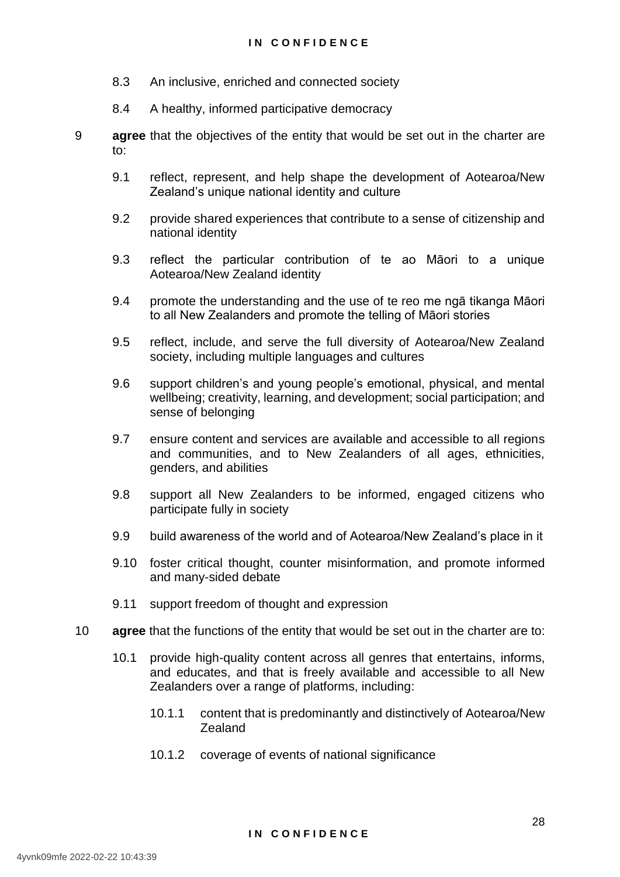- 8.3 An inclusive, enriched and connected society
- 8.4 A healthy, informed participative democracy
- 9 **agree** that the objectives of the entity that would be set out in the charter are to:
	- 9.1 reflect, represent, and help shape the development of Aotearoa/New Zealand's unique national identity and culture
	- 9.2 provide shared experiences that contribute to a sense of citizenship and national identity
	- 9.3 reflect the particular contribution of te ao Māori to a unique Aotearoa/New Zealand identity
	- 9.4 promote the understanding and the use of te reo me ngā tikanga Māori to all New Zealanders and promote the telling of Māori stories
	- 9.5 reflect, include, and serve the full diversity of Aotearoa/New Zealand society, including multiple languages and cultures
	- 9.6 support children's and young people's emotional, physical, and mental wellbeing; creativity, learning, and development; social participation; and sense of belonging
	- 9.7 ensure content and services are available and accessible to all regions and communities, and to New Zealanders of all ages, ethnicities, genders, and abilities
	- 9.8 support all New Zealanders to be informed, engaged citizens who participate fully in society
	- 9.9 build awareness of the world and of Aotearoa/New Zealand's place in it
	- 9.10 foster critical thought, counter misinformation, and promote informed and many-sided debate
	- 9.11 support freedom of thought and expression
- 10 **agree** that the functions of the entity that would be set out in the charter are to:
	- 10.1 provide high-quality content across all genres that entertains, informs, and educates, and that is freely available and accessible to all New Zealanders over a range of platforms, including:
		- 10.1.1 content that is predominantly and distinctively of Aotearoa/New Zealand
		- 10.1.2 coverage of events of national significance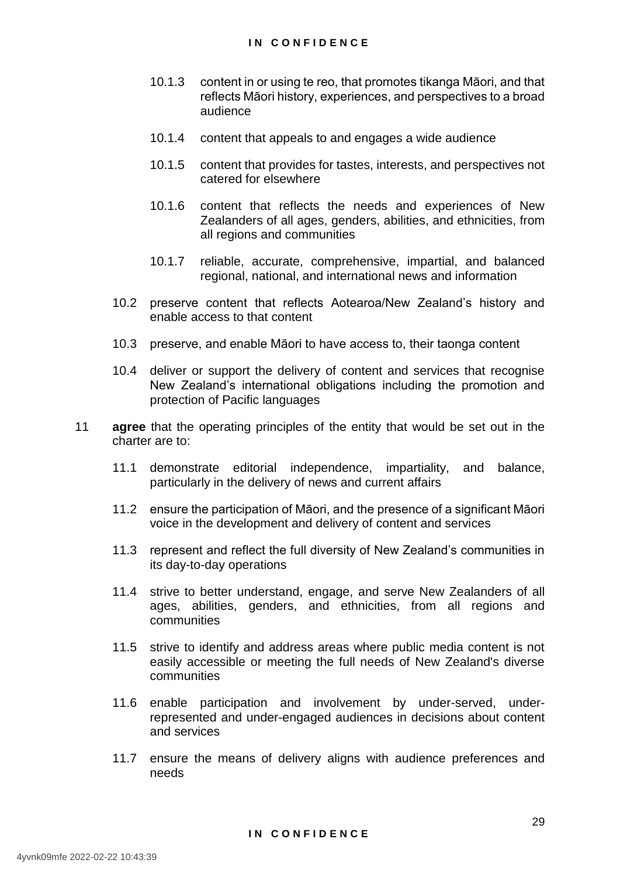- 10.1.3 content in or using te reo, that promotes tikanga Māori, and that reflects Māori history, experiences, and perspectives to a broad audience
- 10.1.4 content that appeals to and engages a wide audience
- 10.1.5 content that provides for tastes, interests, and perspectives not catered for elsewhere
- 10.1.6 content that reflects the needs and experiences of New Zealanders of all ages, genders, abilities, and ethnicities, from all regions and communities
- 10.1.7 reliable, accurate, comprehensive, impartial, and balanced regional, national, and international news and information
- 10.2 preserve content that reflects Aotearoa/New Zealand's history and enable access to that content
- 10.3 preserve, and enable Māori to have access to, their taonga content
- 10.4 deliver or support the delivery of content and services that recognise New Zealand's international obligations including the promotion and protection of Pacific languages
- 11 **agree** that the operating principles of the entity that would be set out in the charter are to:
	- 11.1 demonstrate editorial independence, impartiality, and balance, particularly in the delivery of news and current affairs
	- 11.2 ensure the participation of Māori, and the presence of a significant Māori voice in the development and delivery of content and services
	- 11.3 represent and reflect the full diversity of New Zealand's communities in its day-to-day operations
	- 11.4 strive to better understand, engage, and serve New Zealanders of all ages, abilities, genders, and ethnicities, from all regions and communities
	- 11.5 strive to identify and address areas where public media content is not easily accessible or meeting the full needs of New Zealand's diverse communities
	- 11.6 enable participation and involvement by under-served, underrepresented and under-engaged audiences in decisions about content and services
	- 11.7 ensure the means of delivery aligns with audience preferences and needs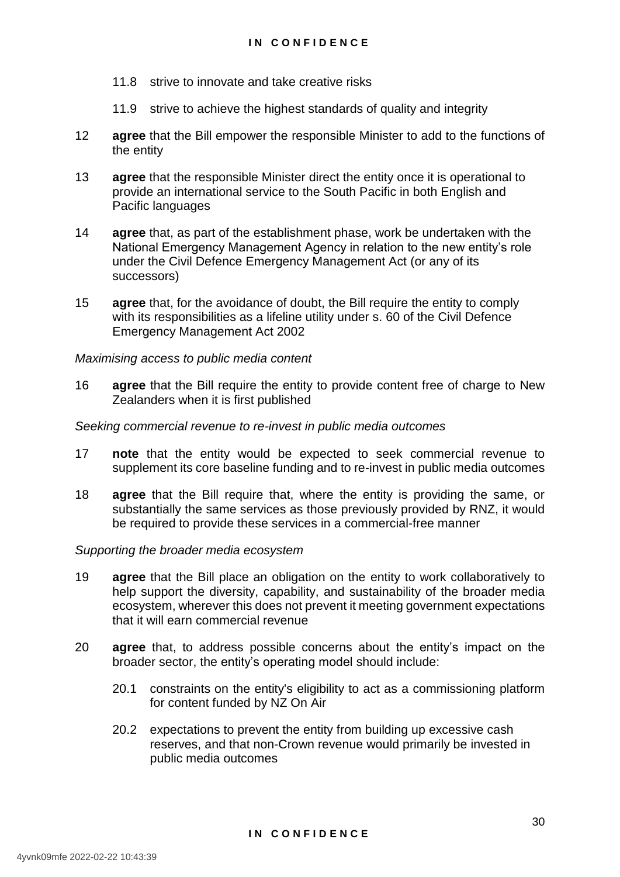- 11.8 strive to innovate and take creative risks
- 11.9 strive to achieve the highest standards of quality and integrity
- 12 **agree** that the Bill empower the responsible Minister to add to the functions of the entity
- 13 **agree** that the responsible Minister direct the entity once it is operational to provide an international service to the South Pacific in both English and Pacific languages
- 14 **agree** that, as part of the establishment phase, work be undertaken with the National Emergency Management Agency in relation to the new entity's role under the Civil Defence Emergency Management Act (or any of its successors)
- 15 **agree** that, for the avoidance of doubt, the Bill require the entity to comply with its responsibilities as a lifeline utility under s. 60 of the Civil Defence Emergency Management Act 2002

#### *Maximising access to public media content*

16 **agree** that the Bill require the entity to provide content free of charge to New Zealanders when it is first published

#### *Seeking commercial revenue to re-invest in public media outcomes*

- 17 **note** that the entity would be expected to seek commercial revenue to supplement its core baseline funding and to re-invest in public media outcomes
- 18 **agree** that the Bill require that, where the entity is providing the same, or substantially the same services as those previously provided by RNZ, it would be required to provide these services in a commercial-free manner

#### *Supporting the broader media ecosystem*

- 19 **agree** that the Bill place an obligation on the entity to work collaboratively to help support the diversity, capability, and sustainability of the broader media ecosystem, wherever this does not prevent it meeting government expectations that it will earn commercial revenue
- 20 **agree** that, to address possible concerns about the entity's impact on the broader sector, the entity's operating model should include:
	- 20.1 constraints on the entity's eligibility to act as a commissioning platform for content funded by NZ On Air
	- 20.2 expectations to prevent the entity from building up excessive cash reserves, and that non-Crown revenue would primarily be invested in public media outcomes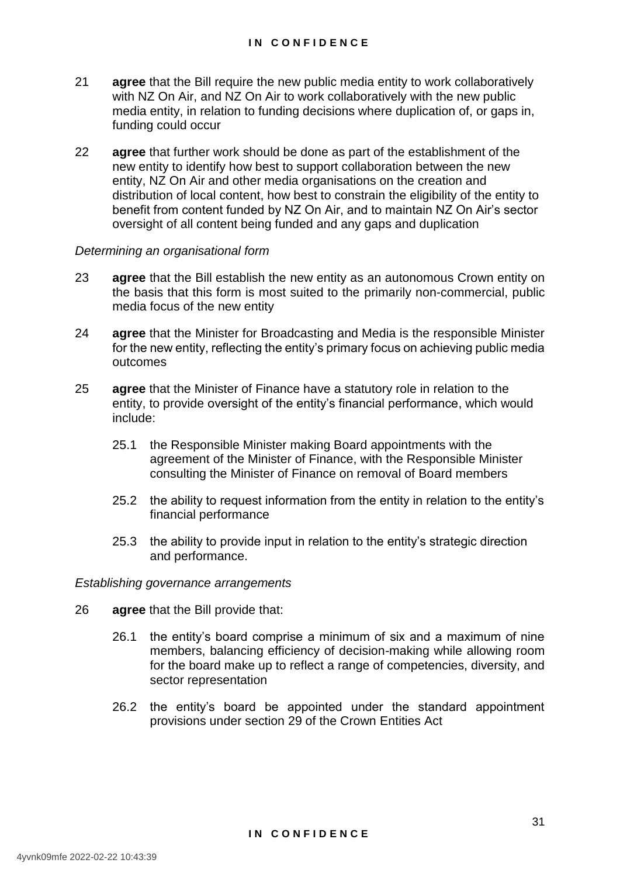- 21 **agree** that the Bill require the new public media entity to work collaboratively with NZ On Air, and NZ On Air to work collaboratively with the new public media entity, in relation to funding decisions where duplication of, or gaps in, funding could occur
- 22 **agree** that further work should be done as part of the establishment of the new entity to identify how best to support collaboration between the new entity, NZ On Air and other media organisations on the creation and distribution of local content, how best to constrain the eligibility of the entity to benefit from content funded by NZ On Air, and to maintain NZ On Air's sector oversight of all content being funded and any gaps and duplication

#### *Determining an organisational form*

- 23 **agree** that the Bill establish the new entity as an autonomous Crown entity on the basis that this form is most suited to the primarily non-commercial, public media focus of the new entity
- 24 **agree** that the Minister for Broadcasting and Media is the responsible Minister for the new entity, reflecting the entity's primary focus on achieving public media outcomes
- 25 **agree** that the Minister of Finance have a statutory role in relation to the entity, to provide oversight of the entity's financial performance, which would include:
	- 25.1 the Responsible Minister making Board appointments with the agreement of the Minister of Finance, with the Responsible Minister consulting the Minister of Finance on removal of Board members
	- 25.2 the ability to request information from the entity in relation to the entity's financial performance
	- 25.3 the ability to provide input in relation to the entity's strategic direction and performance.

*Establishing governance arrangements*

- 26 **agree** that the Bill provide that:
	- 26.1 the entity's board comprise a minimum of six and a maximum of nine members, balancing efficiency of decision-making while allowing room for the board make up to reflect a range of competencies, diversity, and sector representation
	- 26.2 the entity's board be appointed under the standard appointment provisions under section 29 of the Crown Entities Act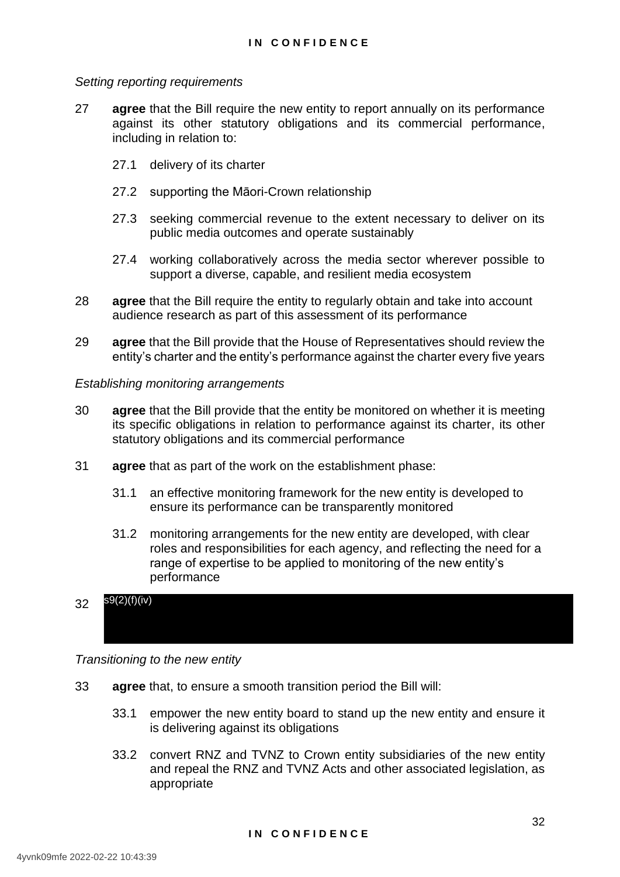#### *Setting reporting requirements*

- 27 **agree** that the Bill require the new entity to report annually on its performance against its other statutory obligations and its commercial performance, including in relation to:
	- 27.1 delivery of its charter
	- 27.2 supporting the Māori-Crown relationship
	- 27.3 seeking commercial revenue to the extent necessary to deliver on its public media outcomes and operate sustainably
	- 27.4 working collaboratively across the media sector wherever possible to support a diverse, capable, and resilient media ecosystem
- 28 **agree** that the Bill require the entity to regularly obtain and take into account audience research as part of this assessment of its performance
- 29 **agree** that the Bill provide that the House of Representatives should review the entity's charter and the entity's performance against the charter every five years

#### *Establishing monitoring arrangements*

- 30 **agree** that the Bill provide that the entity be monitored on whether it is meeting its specific obligations in relation to performance against its charter, its other statutory obligations and its commercial performance
- 31 **agree** that as part of the work on the establishment phase:
	- 31.1 an effective monitoring framework for the new entity is developed to ensure its performance can be transparently monitored
	- 31.2 monitoring arrangements for the new entity are developed, with clear roles and responsibilities for each agency, and reflecting the need for a range of expertise to be applied to monitoring of the new entity's performance

#### 32 s9(2)(f)(iv)

*Transitioning to the new entity*

- 33 **agree** that, to ensure a smooth transition period the Bill will:
	- 33.1 empower the new entity board to stand up the new entity and ensure it is delivering against its obligations
	- 33.2 convert RNZ and TVNZ to Crown entity subsidiaries of the new entity and repeal the RNZ and TVNZ Acts and other associated legislation, as appropriate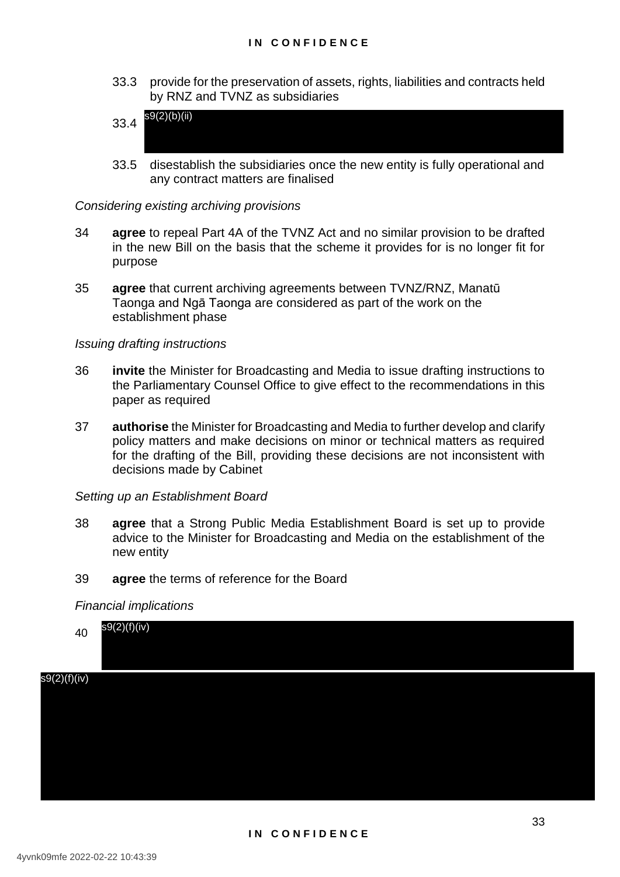- 33.3 provide for the preservation of assets, rights, liabilities and contracts held by RNZ and TVNZ as subsidiaries
- 33.4 s9(2)(b)(ii)
- 33.5 disestablish the subsidiaries once the new entity is fully operational and any contract matters are finalised

#### *Considering existing archiving provisions*

- 34 **agree** to repeal Part 4A of the TVNZ Act and no similar provision to be drafted in the new Bill on the basis that the scheme it provides for is no longer fit for purpose
- 35 **agree** that current archiving agreements between TVNZ/RNZ, Manatū Taonga and Ngā Taonga are considered as part of the work on the establishment phase

#### *Issuing drafting instructions*

- 36 **invite** the Minister for Broadcasting and Media to issue drafting instructions to the Parliamentary Counsel Office to give effect to the recommendations in this paper as required
- 37 **authorise** the Minister for Broadcasting and Media to further develop and clarify policy matters and make decisions on minor or technical matters as required for the drafting of the Bill, providing these decisions are not inconsistent with decisions made by Cabinet

#### *Setting up an Establishment Board*

- 38 **agree** that a Strong Public Media Establishment Board is set up to provide advice to the Minister for Broadcasting and Media on the establishment of the new entity
- 39 **agree** the terms of reference for the Board

#### *Financial implications*

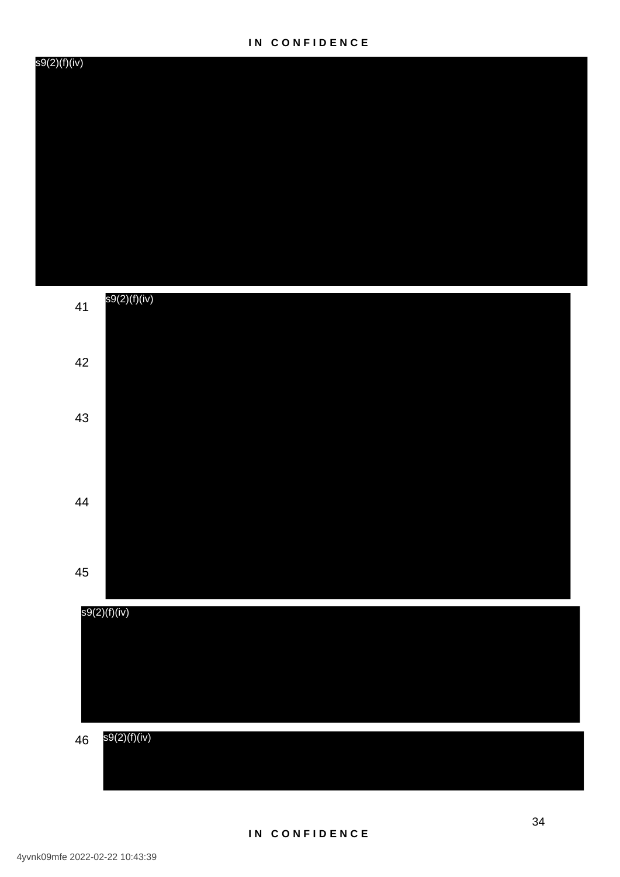41

s9(2)(f)(iv)

s9(2)(f)(iv)

42

43

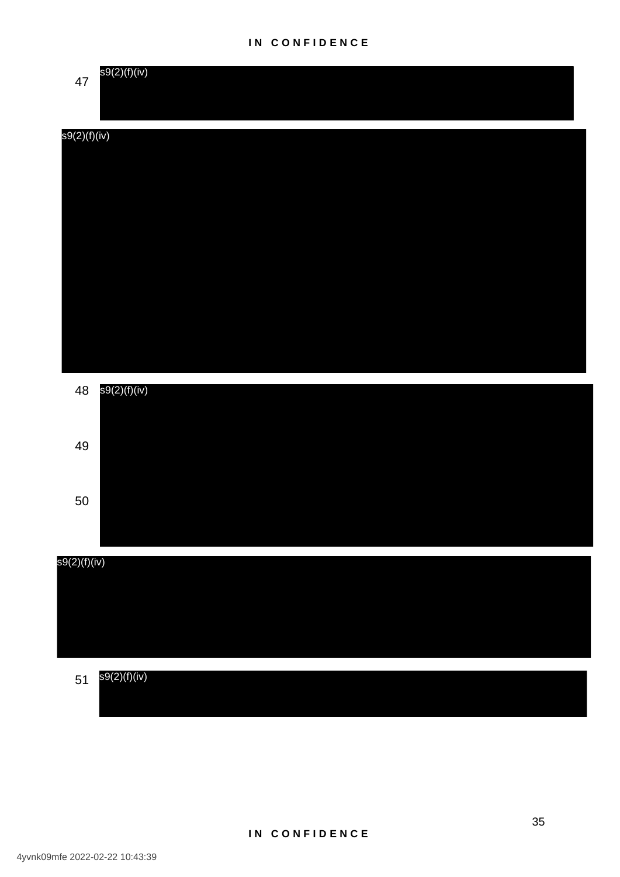## **I N C O N F I D E N C E**



# s9(2)(f)(iv)





#### 51 s9(2)(f)(iv)